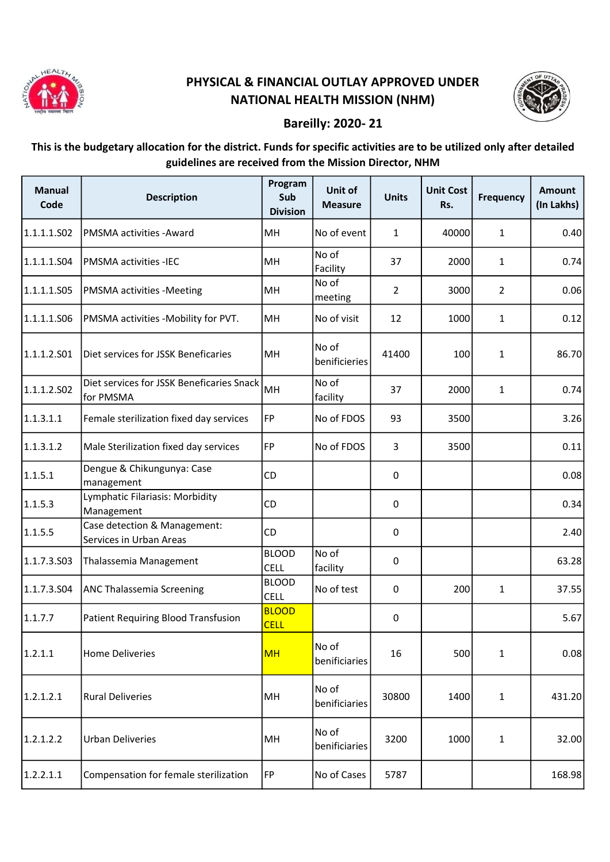

## PHYSICAL & FINANCIAL OUTLAY APPROVED UNDER NATIONAL HEALTH MISSION (NHM)



## Bareilly: 2020- 21

## This is the budgetary allocation for the district. Funds for specific activities are to be utilized only after detailed guidelines are received from the Mission Director, NHM

| <b>Manual</b><br>Code | <b>Description</b>                                      | Program<br>Sub<br><b>Division</b> | Unit of<br><b>Measure</b> | <b>Units</b>   | <b>Unit Cost</b><br>Rs. | <b>Frequency</b> | <b>Amount</b><br>(In Lakhs) |
|-----------------------|---------------------------------------------------------|-----------------------------------|---------------------------|----------------|-------------------------|------------------|-----------------------------|
| 1.1.1.1.502           | PMSMA activities - Award                                | MH                                | No of event               | $\mathbf{1}$   | 40000                   | 1                | 0.40                        |
| 1.1.1.1.S04           | <b>PMSMA activities -IEC</b>                            | MH                                | No of<br>Facility         | 37             | 2000                    | $\mathbf{1}$     | 0.74                        |
| 1.1.1.1.505           | PMSMA activities -Meeting                               | MH                                | No of<br>meeting          | $\overline{2}$ | 3000                    | $\overline{2}$   | 0.06                        |
| 1.1.1.1.506           | PMSMA activities -Mobility for PVT.                     | MH                                | No of visit               | 12             | 1000                    | 1                | 0.12                        |
| 1.1.1.2.501           | Diet services for JSSK Beneficaries                     | MH                                | No of<br>benificieries    | 41400          | 100                     | $\mathbf{1}$     | 86.70                       |
| 1.1.1.2.502           | Diet services for JSSK Beneficaries Snack<br>for PMSMA  | MH                                | No of<br>facility         | 37             | 2000                    | $\mathbf{1}$     | 0.74                        |
| 1.1.3.1.1             | Female sterilization fixed day services                 | <b>FP</b>                         | No of FDOS                | 93             | 3500                    |                  | 3.26                        |
| 1.1.3.1.2             | Male Sterilization fixed day services                   | FP                                | No of FDOS                | 3              | 3500                    |                  | 0.11                        |
| 1.1.5.1               | Dengue & Chikungunya: Case<br>management                | <b>CD</b>                         |                           | 0              |                         |                  | 0.08                        |
| 1.1.5.3               | Lymphatic Filariasis: Morbidity<br>Management           | CD                                |                           | 0              |                         |                  | 0.34                        |
| 1.1.5.5               | Case detection & Management:<br>Services in Urban Areas | CD                                |                           | 0              |                         |                  | 2.40                        |
| 1.1.7.3.503           | Thalassemia Management                                  | <b>BLOOD</b><br><b>CELL</b>       | No of<br>facility         | 0              |                         |                  | 63.28                       |
| 1.1.7.3.504           | ANC Thalassemia Screening                               | <b>BLOOD</b><br><b>CELL</b>       | No of test                | $\pmb{0}$      | 200                     | $\mathbf{1}$     | 37.55                       |
| 1.1.7.7               | Patient Requiring Blood Transfusion                     | <b>BLOOD</b><br><b>CELL</b>       |                           | 0              |                         |                  | 5.67                        |
| 1.2.1.1               | <b>Home Deliveries</b>                                  | <b>MH</b>                         | No of<br>benificiaries    | 16             | 500                     | 1                | 0.08                        |
| 1.2.1.2.1             | <b>Rural Deliveries</b>                                 | MH                                | No of<br>benificiaries    | 30800          | 1400                    | $\mathbf{1}$     | 431.20                      |
| 1.2.1.2.2             | <b>Urban Deliveries</b>                                 | MH                                | No of<br>benificiaries    | 3200           | 1000                    | $\mathbf{1}$     | 32.00                       |
| 1.2.2.1.1             | Compensation for female sterilization                   | <b>FP</b>                         | No of Cases               | 5787           |                         |                  | 168.98                      |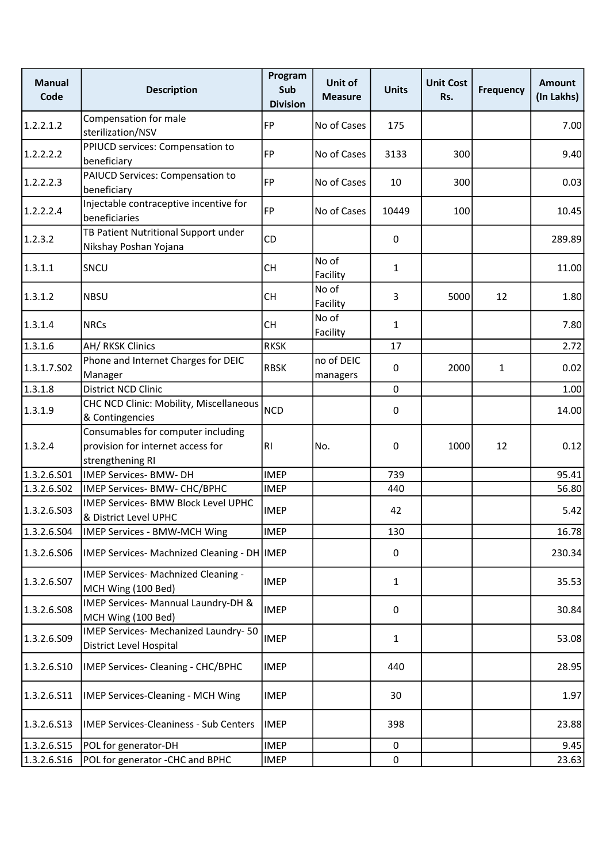| <b>Manual</b><br>Code | <b>Description</b>                                                                          | Program<br>Sub<br><b>Division</b> | Unit of<br><b>Measure</b> | <b>Units</b> | <b>Unit Cost</b><br>Rs. | <b>Frequency</b> | <b>Amount</b><br>(In Lakhs) |
|-----------------------|---------------------------------------------------------------------------------------------|-----------------------------------|---------------------------|--------------|-------------------------|------------------|-----------------------------|
| 1.2.2.1.2             | Compensation for male<br>sterilization/NSV                                                  | FP                                | No of Cases               | 175          |                         |                  | 7.00                        |
| 1.2.2.2.2             | PPIUCD services: Compensation to<br>beneficiary                                             | FP                                | No of Cases               | 3133         | 300                     |                  | 9.40                        |
| 1.2.2.2.3             | PAIUCD Services: Compensation to<br>beneficiary                                             | FP                                | No of Cases               | 10           | 300                     |                  | 0.03                        |
| 1.2.2.2.4             | Injectable contraceptive incentive for<br>beneficiaries                                     | FP                                | No of Cases               | 10449        | 100                     |                  | 10.45                       |
| 1.2.3.2               | TB Patient Nutritional Support under<br>Nikshay Poshan Yojana                               | <b>CD</b>                         |                           | 0            |                         |                  | 289.89                      |
| 1.3.1.1               | SNCU                                                                                        | <b>CH</b>                         | No of<br>Facility         | $\mathbf{1}$ |                         |                  | 11.00                       |
| 1.3.1.2               | <b>NBSU</b>                                                                                 | <b>CH</b>                         | No of<br>Facility         | 3            | 5000                    | 12               | 1.80                        |
| 1.3.1.4               | <b>NRCs</b>                                                                                 | CH                                | No of<br>Facility         | $\mathbf{1}$ |                         |                  | 7.80                        |
| 1.3.1.6               | <b>AH/ RKSK Clinics</b>                                                                     | <b>RKSK</b>                       |                           | 17           |                         |                  | 2.72                        |
| 1.3.1.7.502           | Phone and Internet Charges for DEIC<br>Manager                                              | <b>RBSK</b>                       | no of DEIC<br>managers    | 0            | 2000                    | 1                | 0.02                        |
| 1.3.1.8               | District NCD Clinic                                                                         |                                   |                           | $\mathbf 0$  |                         |                  | 1.00                        |
| 1.3.1.9               | CHC NCD Clinic: Mobility, Miscellaneous<br>& Contingencies                                  | <b>NCD</b>                        |                           | 0            |                         |                  | 14.00                       |
| 1.3.2.4               | Consumables for computer including<br>provision for internet access for<br>strengthening RI | IRI.                              | No.                       | 0            | 1000                    | 12               | 0.12                        |
| 1.3.2.6.S01           | <b>IMEP Services- BMW- DH</b>                                                               | <b>IMEP</b>                       |                           | 739          |                         |                  | 95.41                       |
| 1.3.2.6.502           | IMEP Services- BMW- CHC/BPHC                                                                | <b>IMEP</b>                       |                           | 440          |                         |                  | 56.80                       |
| 1.3.2.6.503           | <b>IMEP Services- BMW Block Level UPHC</b><br>& District Level UPHC                         | <b>IMEP</b>                       |                           | 42           |                         |                  | 5.42                        |
| 1.3.2.6.504           | IMEP Services - BMW-MCH Wing                                                                | <b>IMEP</b>                       |                           | 130          |                         |                  | 16.78                       |
| 1.3.2.6.506           | IMEP Services- Machnized Cleaning - DH   IMEP                                               |                                   |                           | 0            |                         |                  | 230.34                      |
| 1.3.2.6.S07           | IMEP Services- Machnized Cleaning -<br>MCH Wing (100 Bed)                                   | <b>IMEP</b>                       |                           | $\mathbf{1}$ |                         |                  | 35.53                       |
| 1.3.2.6.508           | IMEP Services- Mannual Laundry-DH &<br>MCH Wing (100 Bed)                                   | <b>IMEP</b>                       |                           | 0            |                         |                  | 30.84                       |
| 1.3.2.6.509           | IMEP Services- Mechanized Laundry-50<br>District Level Hospital                             | <b>IMEP</b>                       |                           | $\mathbf{1}$ |                         |                  | 53.08                       |
| 1.3.2.6.510           | IMEP Services- Cleaning - CHC/BPHC                                                          | <b>IMEP</b>                       |                           | 440          |                         |                  | 28.95                       |
| 1.3.2.6.S11           | <b>IMEP Services-Cleaning - MCH Wing</b>                                                    | <b>IMEP</b>                       |                           | 30           |                         |                  | 1.97                        |
| 1.3.2.6.513           | <b>IMEP Services-Cleaniness - Sub Centers</b>                                               | <b>IMEP</b>                       |                           | 398          |                         |                  | 23.88                       |
| 1.3.2.6.S15           | POL for generator-DH                                                                        | <b>IMEP</b>                       |                           | 0            |                         |                  | 9.45                        |
| 1.3.2.6.516           | POL for generator - CHC and BPHC                                                            | <b>IMEP</b>                       |                           | $\pmb{0}$    |                         |                  | 23.63                       |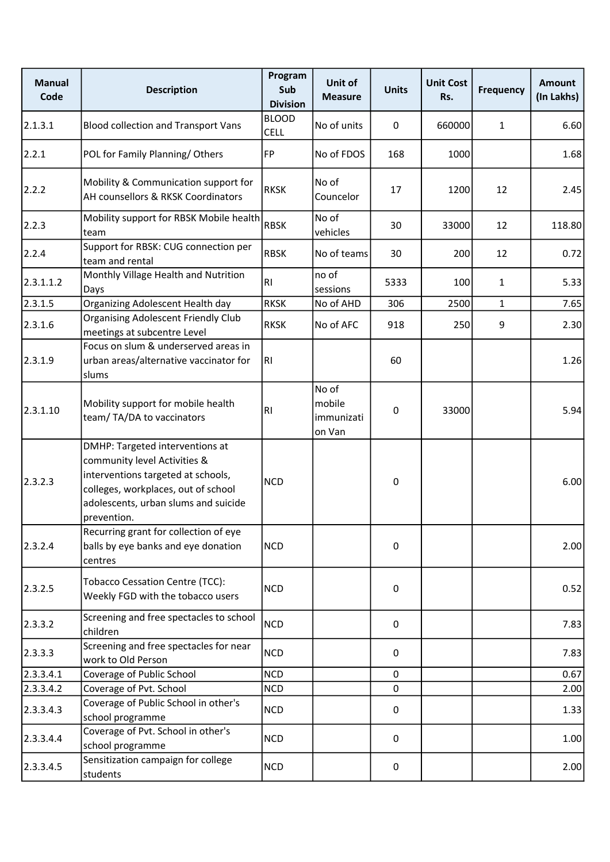| <b>Manual</b><br>Code | <b>Description</b>                                                                                                                                                                                  | Program<br>Sub<br><b>Division</b> | Unit of<br><b>Measure</b>               | <b>Units</b> | <b>Unit Cost</b><br>Rs. | <b>Frequency</b> | <b>Amount</b><br>(In Lakhs) |
|-----------------------|-----------------------------------------------------------------------------------------------------------------------------------------------------------------------------------------------------|-----------------------------------|-----------------------------------------|--------------|-------------------------|------------------|-----------------------------|
| 2.1.3.1               | <b>Blood collection and Transport Vans</b>                                                                                                                                                          | <b>BLOOD</b><br><b>CELL</b>       | No of units                             | 0            | 660000                  | $\mathbf{1}$     | 6.60                        |
| 2.2.1                 | POL for Family Planning/Others                                                                                                                                                                      | FP                                | No of FDOS                              | 168          | 1000                    |                  | 1.68                        |
| 2.2.2                 | Mobility & Communication support for<br>AH counsellors & RKSK Coordinators                                                                                                                          | <b>RKSK</b>                       | No of<br>Councelor                      | 17           | 1200                    | 12               | 2.45                        |
| 2.2.3                 | Mobility support for RBSK Mobile health<br>team                                                                                                                                                     | <b>RBSK</b>                       | No of<br>vehicles                       | 30           | 33000                   | 12               | 118.80                      |
| 2.2.4                 | Support for RBSK: CUG connection per<br>team and rental                                                                                                                                             | <b>RBSK</b>                       | No of teams                             | 30           | 200                     | 12               | 0.72                        |
| 2.3.1.1.2             | Monthly Village Health and Nutrition<br>Days                                                                                                                                                        | <b>RI</b>                         | no of<br>sessions                       | 5333         | 100                     | $\mathbf{1}$     | 5.33                        |
| 2.3.1.5               | Organizing Adolescent Health day                                                                                                                                                                    | <b>RKSK</b>                       | No of AHD                               | 306          | 2500                    | $\mathbf{1}$     | 7.65                        |
| 2.3.1.6               | <b>Organising Adolescent Friendly Club</b><br>meetings at subcentre Level                                                                                                                           | <b>RKSK</b>                       | No of AFC                               | 918          | 250                     | 9                | 2.30                        |
| 2.3.1.9               | Focus on slum & underserved areas in<br>urban areas/alternative vaccinator for<br>slums                                                                                                             | RI.                               |                                         | 60           |                         |                  | 1.26                        |
| 2.3.1.10              | Mobility support for mobile health<br>team/TA/DA to vaccinators                                                                                                                                     | R1                                | No of<br>mobile<br>immunizati<br>on Van | 0            | 33000                   |                  | 5.94                        |
| 2.3.2.3               | DMHP: Targeted interventions at<br>community level Activities &<br>interventions targeted at schools,<br>colleges, workplaces, out of school<br>adolescents, urban slums and suicide<br>prevention. | <b>NCD</b>                        |                                         | 0            |                         |                  | 6.00                        |
| 2.3.2.4               | Recurring grant for collection of eye<br>balls by eye banks and eye donation<br>centres                                                                                                             | <b>NCD</b>                        |                                         | 0            |                         |                  | 2.00                        |
| 2.3.2.5               | <b>Tobacco Cessation Centre (TCC):</b><br>Weekly FGD with the tobacco users                                                                                                                         | <b>NCD</b>                        |                                         | 0            |                         |                  | 0.52                        |
| 2.3.3.2               | Screening and free spectacles to school<br>children                                                                                                                                                 | <b>NCD</b>                        |                                         | 0            |                         |                  | 7.83                        |
| 2.3.3.3               | Screening and free spectacles for near<br>work to Old Person                                                                                                                                        | <b>NCD</b>                        |                                         | 0            |                         |                  | 7.83                        |
| 2.3.3.4.1             | Coverage of Public School                                                                                                                                                                           | <b>NCD</b>                        |                                         | $\mathbf 0$  |                         |                  | 0.67                        |
| 2.3.3.4.2             | Coverage of Pvt. School                                                                                                                                                                             | <b>NCD</b>                        |                                         | 0            |                         |                  | 2.00                        |
| 2.3.3.4.3             | Coverage of Public School in other's<br>school programme                                                                                                                                            | <b>NCD</b>                        |                                         | 0            |                         |                  | 1.33                        |
| 2.3.3.4.4             | Coverage of Pvt. School in other's<br>school programme                                                                                                                                              | <b>NCD</b>                        |                                         | 0            |                         |                  | 1.00                        |
| 2.3.3.4.5             | Sensitization campaign for college<br>students                                                                                                                                                      | <b>NCD</b>                        |                                         | 0            |                         |                  | 2.00                        |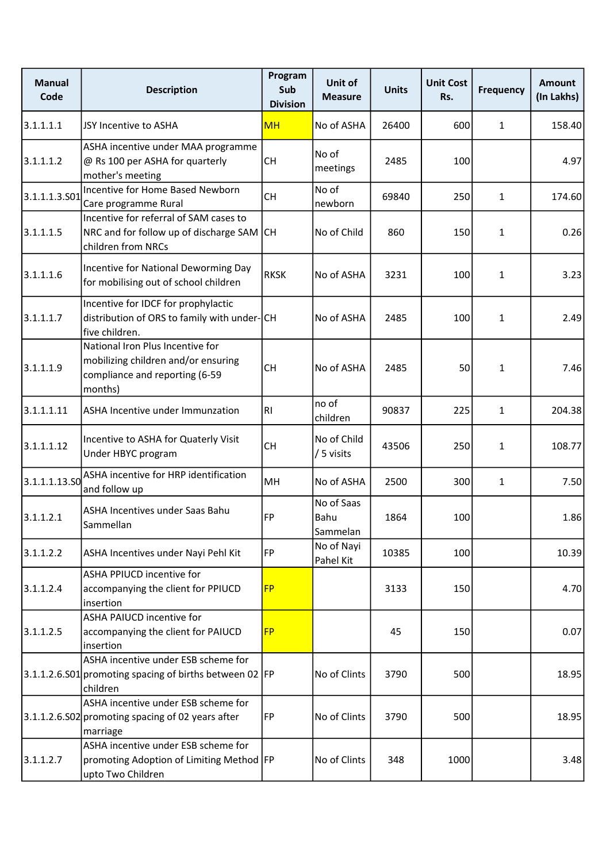| <b>Manual</b><br>Code | <b>Description</b>                                                                                                   | Program<br>Sub<br><b>Division</b> | Unit of<br><b>Measure</b>      | <b>Units</b> | <b>Unit Cost</b><br>Rs. | <b>Frequency</b> | Amount<br>(In Lakhs) |
|-----------------------|----------------------------------------------------------------------------------------------------------------------|-----------------------------------|--------------------------------|--------------|-------------------------|------------------|----------------------|
| 3.1.1.1.1             | JSY Incentive to ASHA                                                                                                | <b>MH</b>                         | No of ASHA                     | 26400        | 600                     | $\mathbf{1}$     | 158.40               |
| 3.1.1.1.2             | ASHA incentive under MAA programme<br>@ Rs 100 per ASHA for quarterly<br>mother's meeting                            | <b>CH</b>                         | No of<br>meetings              | 2485         | 100                     |                  | 4.97                 |
| 3.1.1.1.3.S01         | Incentive for Home Based Newborn<br>Care programme Rural                                                             | <b>CH</b>                         | No of<br>newborn               | 69840        | 250                     | $\mathbf{1}$     | 174.60               |
| 3.1.1.1.5             | Incentive for referral of SAM cases to<br>NRC and for follow up of discharge SAM CH<br>children from NRCs            |                                   | No of Child                    | 860          | 150                     | $\mathbf{1}$     | 0.26                 |
| 3.1.1.1.6             | Incentive for National Deworming Day<br>for mobilising out of school children                                        | <b>RKSK</b>                       | No of ASHA                     | 3231         | 100                     | $\mathbf{1}$     | 3.23                 |
| 3.1.1.1.7             | Incentive for IDCF for prophylactic<br>distribution of ORS to family with under-CH<br>five children.                 |                                   | No of ASHA                     | 2485         | 100                     | $\mathbf{1}$     | 2.49                 |
| 3.1.1.1.9             | National Iron Plus Incentive for<br>mobilizing children and/or ensuring<br>compliance and reporting (6-59<br>months) | <b>CH</b>                         | No of ASHA                     | 2485         | 50                      | $\mathbf{1}$     | 7.46                 |
| 3.1.1.1.11            | ASHA Incentive under Immunzation                                                                                     | lrı                               | no of<br>children              | 90837        | 225                     | $\mathbf{1}$     | 204.38               |
| 3.1.1.1.12            | Incentive to ASHA for Quaterly Visit<br>Under HBYC program                                                           | <b>CH</b>                         | No of Child<br>/ 5 visits      | 43506        | 250                     | $\mathbf{1}$     | 108.77               |
| 3.1.1.1.13.50         | ASHA incentive for HRP identification<br>and follow up                                                               | MH                                | No of ASHA                     | 2500         | 300                     | $\mathbf{1}$     | 7.50                 |
| 3.1.1.2.1             | ASHA Incentives under Saas Bahu<br>Sammellan                                                                         | FP                                | No of Saas<br>Bahu<br>Sammelan | 1864         | 100                     |                  | 1.86                 |
| 3.1.1.2.2             | ASHA Incentives under Nayi Pehl Kit                                                                                  | FP                                | No of Nayi<br>Pahel Kit        | 10385        | 100                     |                  | 10.39                |
| 3.1.1.2.4             | <b>ASHA PPIUCD incentive for</b><br>accompanying the client for PPIUCD<br>insertion                                  | <b>FP</b>                         |                                | 3133         | 150                     |                  | 4.70                 |
| 3.1.1.2.5             | <b>ASHA PAIUCD incentive for</b><br>accompanying the client for PAIUCD<br>insertion                                  | <b>FP</b>                         |                                | 45           | 150                     |                  | 0.07                 |
|                       | ASHA incentive under ESB scheme for<br>3.1.1.2.6.S01 promoting spacing of births between 02 FP<br>children           |                                   | No of Clints                   | 3790         | 500                     |                  | 18.95                |
|                       | ASHA incentive under ESB scheme for<br>3.1.1.2.6.S02 promoting spacing of 02 years after<br>marriage                 | <b>IFP</b>                        | No of Clints                   | 3790         | 500                     |                  | 18.95                |
| 3.1.1.2.7             | ASHA incentive under ESB scheme for<br>promoting Adoption of Limiting Method   FP<br>upto Two Children               |                                   | No of Clints                   | 348          | 1000                    |                  | 3.48                 |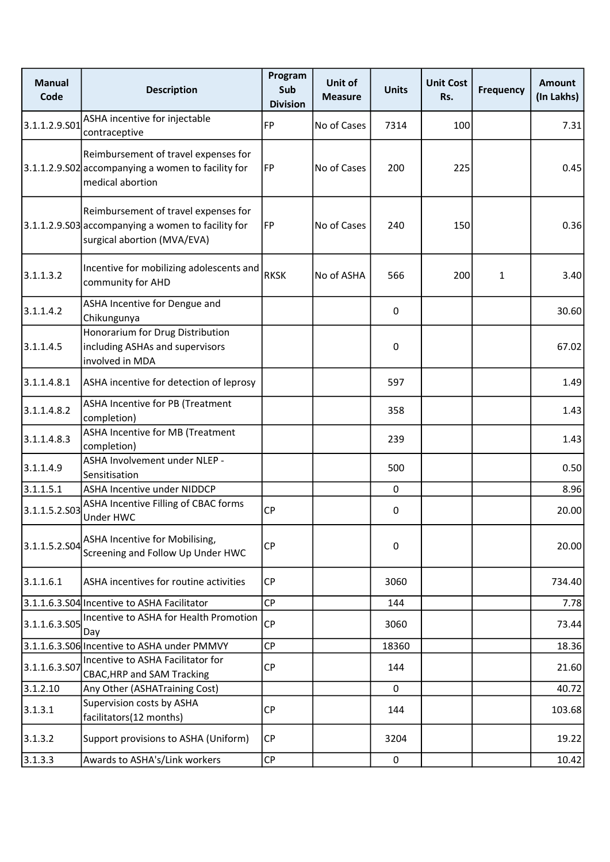| <b>Manual</b><br>Code | <b>Description</b>                                                                                                        | Program<br>Sub<br><b>Division</b> | Unit of<br><b>Measure</b> | <b>Units</b> | <b>Unit Cost</b><br>Rs. | <b>Frequency</b> | <b>Amount</b><br>(In Lakhs) |
|-----------------------|---------------------------------------------------------------------------------------------------------------------------|-----------------------------------|---------------------------|--------------|-------------------------|------------------|-----------------------------|
| 3.1.1.2.9.501         | ASHA incentive for injectable<br>contraceptive                                                                            | FP                                | No of Cases               | 7314         | 100                     |                  | 7.31                        |
|                       | Reimbursement of travel expenses for<br>$3.1.1.2.9.$ SO2 accompanying a women to facility for<br>medical abortion         | <b>FP</b>                         | No of Cases               | 200          | 225                     |                  | 0.45                        |
|                       | Reimbursement of travel expenses for<br>3.1.1.2.9.S03 accompanying a women to facility for<br>surgical abortion (MVA/EVA) | FP                                | No of Cases               | 240          | 150                     |                  | 0.36                        |
| 3.1.1.3.2             | Incentive for mobilizing adolescents and<br>community for AHD                                                             | <b>RKSK</b>                       | No of ASHA                | 566          | 200                     | $\mathbf{1}$     | 3.40                        |
| 3.1.1.4.2             | ASHA Incentive for Dengue and<br>Chikungunya                                                                              |                                   |                           | 0            |                         |                  | 30.60                       |
| 3.1.1.4.5             | Honorarium for Drug Distribution<br>including ASHAs and supervisors<br>involved in MDA                                    |                                   |                           | 0            |                         |                  | 67.02                       |
| 3.1.1.4.8.1           | ASHA incentive for detection of leprosy                                                                                   |                                   |                           | 597          |                         |                  | 1.49                        |
| 3.1.1.4.8.2           | ASHA Incentive for PB (Treatment<br>completion)                                                                           |                                   |                           | 358          |                         |                  | 1.43                        |
| 3.1.1.4.8.3           | ASHA Incentive for MB (Treatment<br>completion)                                                                           |                                   |                           | 239          |                         |                  | 1.43                        |
| 3.1.1.4.9             | ASHA Involvement under NLEP -<br>Sensitisation                                                                            |                                   |                           | 500          |                         |                  | 0.50                        |
| 3.1.1.5.1             | <b>ASHA Incentive under NIDDCP</b>                                                                                        |                                   |                           | $\Omega$     |                         |                  | 8.96                        |
| 3.1.1.5.2.503         | ASHA Incentive Filling of CBAC forms<br>Under HWC                                                                         | <b>CP</b>                         |                           | 0            |                         |                  | 20.00                       |
| 3.1.1.5.2.S04         | ASHA Incentive for Mobilising,<br>Screening and Follow Up Under HWC                                                       | CP                                |                           | 0            |                         |                  | 20.00                       |
| 3.1.1.6.1             | ASHA incentives for routine activities                                                                                    | <b>CP</b>                         |                           | 3060         |                         |                  | 734.40                      |
|                       | 3.1.1.6.3.S04 Incentive to ASHA Facilitator                                                                               | <b>CP</b>                         |                           | 144          |                         |                  | 7.78                        |
| 3.1.1.6.3.505         | Incentive to ASHA for Health Promotion<br>Day                                                                             | <b>CP</b>                         |                           | 3060         |                         |                  | 73.44                       |
|                       | 3.1.1.6.3.S06 Incentive to ASHA under PMMVY                                                                               | CP                                |                           | 18360        |                         |                  | 18.36                       |
| 3.1.1.6.3.S07         | Incentive to ASHA Facilitator for<br><b>CBAC, HRP and SAM Tracking</b>                                                    | <b>CP</b>                         |                           | 144          |                         |                  | 21.60                       |
| 3.1.2.10              | Any Other (ASHATraining Cost)                                                                                             |                                   |                           | 0            |                         |                  | 40.72                       |
| 3.1.3.1               | Supervision costs by ASHA<br>facilitators(12 months)                                                                      | <b>CP</b>                         |                           | 144          |                         |                  | 103.68                      |
| 3.1.3.2               | Support provisions to ASHA (Uniform)                                                                                      | CP                                |                           | 3204         |                         |                  | 19.22                       |
| 3.1.3.3               | Awards to ASHA's/Link workers                                                                                             | CP                                |                           | 0            |                         |                  | 10.42                       |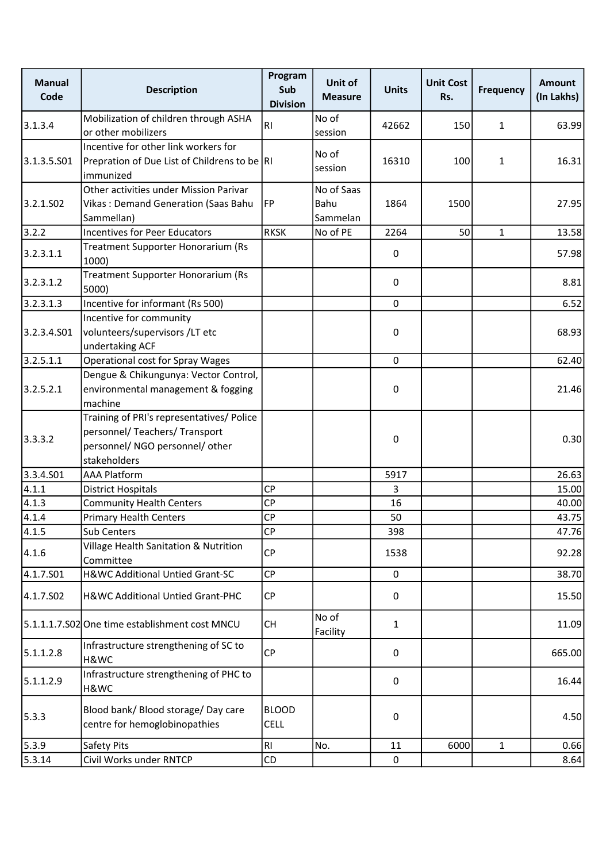| <b>Manual</b><br>Code | <b>Description</b>                                                                                                             | Program<br>Sub<br><b>Division</b> | Unit of<br><b>Measure</b>      | <b>Units</b> | <b>Unit Cost</b><br>Rs. | <b>Frequency</b> | <b>Amount</b><br>(In Lakhs) |
|-----------------------|--------------------------------------------------------------------------------------------------------------------------------|-----------------------------------|--------------------------------|--------------|-------------------------|------------------|-----------------------------|
| 3.1.3.4               | Mobilization of children through ASHA<br>or other mobilizers                                                                   | RI.                               | No of<br>session               | 42662        | 150                     | $\mathbf{1}$     | 63.99                       |
| 3.1.3.5.S01           | Incentive for other link workers for<br>Prepration of Due List of Childrens to be  RI<br>immunized                             |                                   | No of<br>session               | 16310        | 100                     | $\mathbf{1}$     | 16.31                       |
| 3.2.1.502             | Other activities under Mission Parivar<br>Vikas: Demand Generation (Saas Bahu<br>Sammellan)                                    | <b>FP</b>                         | No of Saas<br>Bahu<br>Sammelan | 1864         | 1500                    |                  | 27.95                       |
| 3.2.2                 | <b>Incentives for Peer Educators</b>                                                                                           | <b>RKSK</b>                       | No of PE                       | 2264         | 50                      | $\mathbf{1}$     | 13.58                       |
| 3.2.3.1.1             | Treatment Supporter Honorarium (Rs<br>1000)                                                                                    |                                   |                                | 0            |                         |                  | 57.98                       |
| 3.2.3.1.2             | Treatment Supporter Honorarium (Rs<br>5000)                                                                                    |                                   |                                | 0            |                         |                  | 8.81                        |
| 3.2.3.1.3             | Incentive for informant (Rs 500)                                                                                               |                                   |                                | $\mathbf 0$  |                         |                  | 6.52                        |
| 3.2.3.4.S01           | Incentive for community<br>volunteers/supervisors /LT etc<br>undertaking ACF                                                   |                                   |                                | 0            |                         |                  | 68.93                       |
| 3.2.5.1.1             | Operational cost for Spray Wages                                                                                               |                                   |                                | $\mathbf 0$  |                         |                  | 62.40                       |
| 3.2.5.2.1             | Dengue & Chikungunya: Vector Control,<br>environmental management & fogging<br>machine                                         |                                   |                                | 0            |                         |                  | 21.46                       |
| 3.3.3.2               | Training of PRI's representatives/ Police<br>personnel/ Teachers/ Transport<br>personnel/ NGO personnel/ other<br>stakeholders |                                   |                                | 0            |                         |                  | 0.30                        |
| 3.3.4.501             | <b>AAA Platform</b>                                                                                                            |                                   |                                | 5917         |                         |                  | 26.63                       |
| 4.1.1                 | <b>District Hospitals</b>                                                                                                      | <b>CP</b>                         |                                | 3            |                         |                  | 15.00                       |
| 4.1.3                 | <b>Community Health Centers</b>                                                                                                | <b>CP</b>                         |                                | 16           |                         |                  | 40.00                       |
| 4.1.4                 | <b>Primary Health Centers</b>                                                                                                  | <b>CP</b>                         |                                | 50           |                         |                  | 43.75                       |
| 4.1.5                 | <b>Sub Centers</b>                                                                                                             | <b>CP</b>                         |                                | 398          |                         |                  | 47.76                       |
| 4.1.6                 | Village Health Sanitation & Nutrition<br>Committee                                                                             | <b>CP</b>                         |                                | 1538         |                         |                  | 92.28                       |
| 4.1.7.S01             | H&WC Additional Untied Grant-SC                                                                                                | <b>CP</b>                         |                                | $\mathbf 0$  |                         |                  | 38.70                       |
| 4.1.7.S02             | H&WC Additional Untied Grant-PHC                                                                                               | <b>CP</b>                         |                                | 0            |                         |                  | 15.50                       |
|                       | 5.1.1.1.7.S02 One time establishment cost MNCU                                                                                 | <b>CH</b>                         | No of<br>Facility              | 1            |                         |                  | 11.09                       |
| 5.1.1.2.8             | Infrastructure strengthening of SC to<br>H&WC                                                                                  | <b>CP</b>                         |                                | 0            |                         |                  | 665.00                      |
| 5.1.1.2.9             | Infrastructure strengthening of PHC to<br>H&WC                                                                                 |                                   |                                | 0            |                         |                  | 16.44                       |
| 5.3.3                 | Blood bank/ Blood storage/ Day care<br>centre for hemoglobinopathies                                                           | <b>BLOOD</b><br><b>CELL</b>       |                                | 0            |                         |                  | 4.50                        |
| 5.3.9                 | Safety Pits                                                                                                                    | RI                                | No.                            | 11           | 6000                    | $\mathbf{1}$     | 0.66                        |
| 5.3.14                | Civil Works under RNTCP                                                                                                        | CD                                |                                | $\mathsf 0$  |                         |                  | 8.64                        |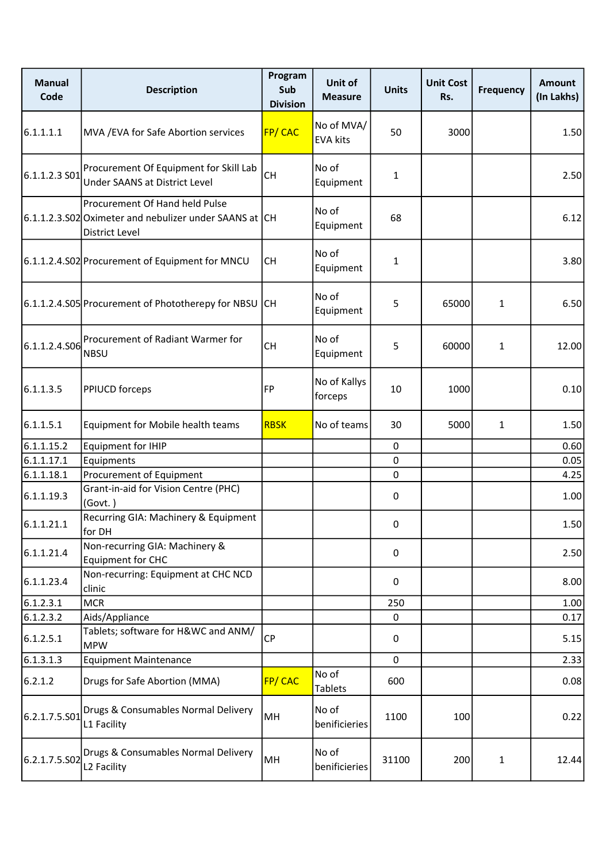| <b>Manual</b><br>Code | <b>Description</b>                                                                                                | Program<br>Sub<br><b>Division</b> | Unit of<br><b>Measure</b>     | <b>Units</b> | <b>Unit Cost</b><br>Rs. | <b>Frequency</b> | <b>Amount</b><br>(In Lakhs) |
|-----------------------|-------------------------------------------------------------------------------------------------------------------|-----------------------------------|-------------------------------|--------------|-------------------------|------------------|-----------------------------|
| 6.1.1.1.1             | MVA / EVA for Safe Abortion services                                                                              | FP/CAC                            | No of MVA/<br><b>EVA kits</b> | 50           | 3000                    |                  | 1.50                        |
| $6.1.1.2.3S$ 01       | Procurement Of Equipment for Skill Lab<br>Under SAANS at District Level                                           | <b>CH</b>                         | No of<br>Equipment            | $\mathbf{1}$ |                         |                  | 2.50                        |
|                       | Procurement Of Hand held Pulse<br>6.1.1.2.3.S02 Oximeter and nebulizer under SAANS at CH<br><b>District Level</b> |                                   | No of<br>Equipment            | 68           |                         |                  | 6.12                        |
|                       | 6.1.1.2.4.S02 Procurement of Equipment for MNCU                                                                   | <b>CH</b>                         | No of<br>Equipment            | 1            |                         |                  | 3.80                        |
|                       | 6.1.1.2.4.S05 Procurement of Phototherepy for NBSU CH                                                             |                                   | No of<br>Equipment            | 5            | 65000                   | $\mathbf{1}$     | 6.50                        |
| 6.1.1.2.4.506         | Procurement of Radiant Warmer for<br><b>NBSU</b>                                                                  | <b>CH</b>                         | No of<br>Equipment            | 5            | 60000                   | $\mathbf{1}$     | 12.00                       |
| 6.1.1.3.5             | <b>PPIUCD</b> forceps                                                                                             | FP                                | No of Kallys<br>forceps       | 10           | 1000                    |                  | 0.10                        |
| 6.1.1.5.1             | Equipment for Mobile health teams                                                                                 | <b>RBSK</b>                       | No of teams                   | 30           | 5000                    | $\mathbf{1}$     | 1.50                        |
| 6.1.1.15.2            | <b>Equipment for IHIP</b>                                                                                         |                                   |                               | $\mathbf 0$  |                         |                  | 0.60                        |
| 6.1.1.17.1            | Equipments                                                                                                        |                                   |                               | 0            |                         |                  | 0.05                        |
| 6.1.1.18.1            | Procurement of Equipment                                                                                          |                                   |                               | 0            |                         |                  | 4.25                        |
| 6.1.1.19.3            | Grant-in-aid for Vision Centre (PHC)<br>(Govt.)                                                                   |                                   |                               | 0            |                         |                  | 1.00                        |
| 6.1.1.21.1            | Recurring GIA: Machinery & Equipment<br>for DH                                                                    |                                   |                               | 0            |                         |                  | 1.50                        |
| 6.1.1.21.4            | Non-recurring GIA: Machinery &<br>Equipment for CHC                                                               |                                   |                               | 0            |                         |                  | 2.50                        |
| 6.1.1.23.4            | Non-recurring: Equipment at CHC NCD<br>clinic                                                                     |                                   |                               | 0            |                         |                  | 8.00                        |
| 6.1.2.3.1             | <b>MCR</b>                                                                                                        |                                   |                               | 250          |                         |                  | 1.00                        |
| 6.1.2.3.2             | Aids/Appliance                                                                                                    |                                   |                               | $\Omega$     |                         |                  | 0.17                        |
| 6.1.2.5.1             | Tablets; software for H&WC and ANM/<br><b>MPW</b>                                                                 | <b>CP</b>                         |                               | 0            |                         |                  | 5.15                        |
| 6.1.3.1.3             | <b>Equipment Maintenance</b>                                                                                      |                                   |                               | $\mathbf 0$  |                         |                  | 2.33                        |
| 6.2.1.2               | Drugs for Safe Abortion (MMA)                                                                                     | FP/CAC                            | No of<br>Tablets              | 600          |                         |                  | 0.08                        |
| 6.2.1.7.5.S01         | Drugs & Consumables Normal Delivery<br>L1 Facility                                                                | MH                                | No of<br>benificieries        | 1100         | 100                     |                  | 0.22                        |
| 6.2.1.7.5.502         | Drugs & Consumables Normal Delivery<br>L <sub>2</sub> Facility                                                    | MH                                | No of<br>benificieries        | 31100        | 200                     | $\mathbf{1}$     | 12.44                       |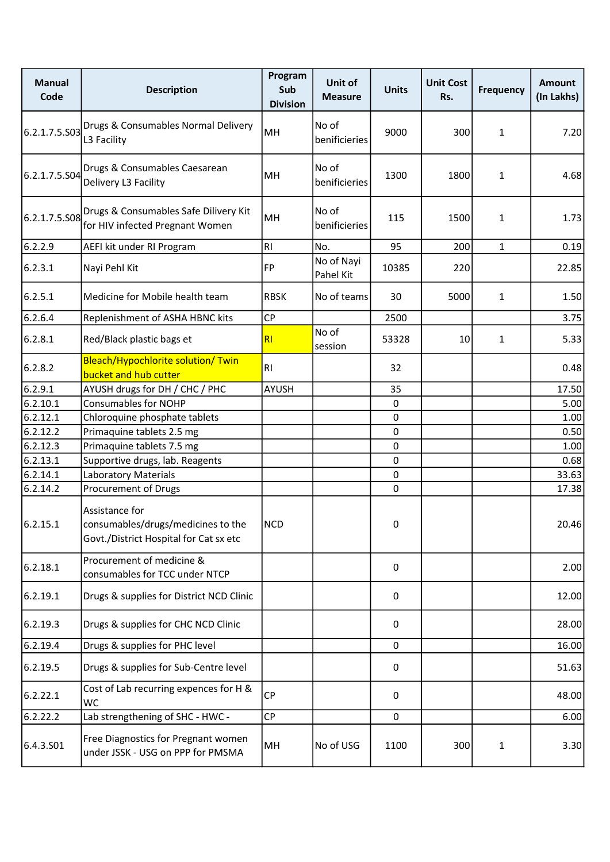| <b>Manual</b><br>Code | <b>Description</b>                                                                                   | Program<br>Sub<br><b>Division</b> | Unit of<br><b>Measure</b> | <b>Units</b> | <b>Unit Cost</b><br>Rs. | <b>Frequency</b> | <b>Amount</b><br>(In Lakhs) |
|-----------------------|------------------------------------------------------------------------------------------------------|-----------------------------------|---------------------------|--------------|-------------------------|------------------|-----------------------------|
| 6.2.1.7.5.503         | Drugs & Consumables Normal Delivery<br>L3 Facility                                                   | MH                                | No of<br>benificieries    | 9000         | 300                     | $\mathbf{1}$     | 7.20                        |
| 6.2.1.7.5.504         | Drugs & Consumables Caesarean<br>Delivery L3 Facility                                                | MН                                | No of<br>benificieries    | 1300         | 1800                    | $\mathbf{1}$     | 4.68                        |
| 6.2.1.7.5.S08         | Drugs & Consumables Safe Dilivery Kit<br>for HIV infected Pregnant Women                             | MH                                | No of<br>benificieries    | 115          | 1500                    | $\mathbf{1}$     | 1.73                        |
| 6.2.2.9               | AEFI kit under RI Program                                                                            | RI                                | No.                       | 95           | 200                     | $\mathbf{1}$     | 0.19                        |
| 6.2.3.1               | Nayi Pehl Kit                                                                                        | FP                                | No of Nayi<br>Pahel Kit   | 10385        | 220                     |                  | 22.85                       |
| 6.2.5.1               | Medicine for Mobile health team                                                                      | <b>RBSK</b>                       | No of teams               | 30           | 5000                    | $\mathbf{1}$     | 1.50                        |
| 6.2.6.4               | Replenishment of ASHA HBNC kits                                                                      | CP                                |                           | 2500         |                         |                  | 3.75                        |
| 6.2.8.1               | Red/Black plastic bags et                                                                            | RI                                | No of<br>session          | 53328        | 10                      | 1                | 5.33                        |
| 6.2.8.2               | Bleach/Hypochlorite solution/ Twin<br>bucket and hub cutter                                          | <b>RI</b>                         |                           | 32           |                         |                  | 0.48                        |
| 6.2.9.1               | AYUSH drugs for DH / CHC / PHC                                                                       | <b>AYUSH</b>                      |                           | 35           |                         |                  | 17.50                       |
| 6.2.10.1              | <b>Consumables for NOHP</b>                                                                          |                                   |                           | 0            |                         |                  | 5.00                        |
| 6.2.12.1              | Chloroquine phosphate tablets                                                                        |                                   |                           | 0            |                         |                  | 1.00                        |
| 6.2.12.2              | Primaquine tablets 2.5 mg                                                                            |                                   |                           | $\mathbf 0$  |                         |                  | 0.50                        |
| 6.2.12.3              | Primaquine tablets 7.5 mg                                                                            |                                   |                           | $\pmb{0}$    |                         |                  | 1.00                        |
| 6.2.13.1              | Supportive drugs, lab. Reagents                                                                      |                                   |                           | 0            |                         |                  | 0.68                        |
| 6.2.14.1              | Laboratory Materials                                                                                 |                                   |                           | $\pmb{0}$    |                         |                  | 33.63                       |
| 6.2.14.2              | Procurement of Drugs                                                                                 |                                   |                           | 0            |                         |                  | 17.38                       |
| 6.2.15.1              | Assistance for<br>consumables/drugs/medicines to the   NCD<br>Govt./District Hospital for Cat sx etc |                                   |                           | 0            |                         |                  | 20.46                       |
| 6.2.18.1              | Procurement of medicine &<br>consumables for TCC under NTCP                                          |                                   |                           | 0            |                         |                  | 2.00                        |
| 6.2.19.1              | Drugs & supplies for District NCD Clinic                                                             |                                   |                           | 0            |                         |                  | 12.00                       |
| 6.2.19.3              | Drugs & supplies for CHC NCD Clinic                                                                  |                                   |                           | 0            |                         |                  | 28.00                       |
| 6.2.19.4              | Drugs & supplies for PHC level                                                                       |                                   |                           | 0            |                         |                  | 16.00                       |
| 6.2.19.5              | Drugs & supplies for Sub-Centre level                                                                |                                   |                           | 0            |                         |                  | 51.63                       |
| 6.2.22.1              | Cost of Lab recurring expences for H &<br><b>WC</b>                                                  | CP                                |                           | 0            |                         |                  | 48.00                       |
| 6.2.22.2              | Lab strengthening of SHC - HWC -                                                                     | CP                                |                           | 0            |                         |                  | 6.00                        |
| 6.4.3.S01             | Free Diagnostics for Pregnant women<br>under JSSK - USG on PPP for PMSMA                             | MH                                | No of USG                 | 1100         | 300                     | $\mathbf{1}$     | 3.30                        |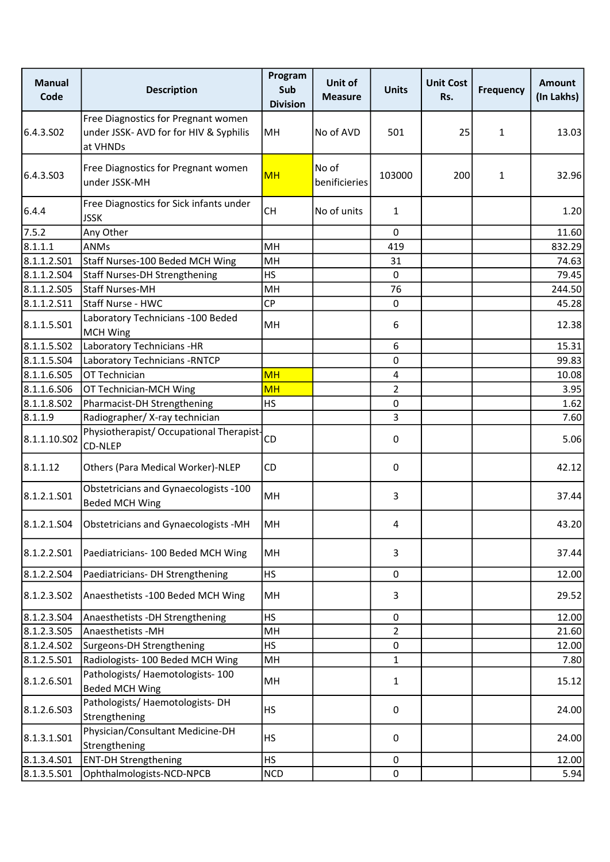| <b>Manual</b><br>Code | <b>Description</b>                                                                        | Program<br>Sub<br><b>Division</b> | Unit of<br><b>Measure</b> | <b>Units</b>   | <b>Unit Cost</b><br>Rs. | <b>Frequency</b> | <b>Amount</b><br>(In Lakhs) |
|-----------------------|-------------------------------------------------------------------------------------------|-----------------------------------|---------------------------|----------------|-------------------------|------------------|-----------------------------|
| 6.4.3.SO <sub>2</sub> | Free Diagnostics for Pregnant women<br>under JSSK- AVD for for HIV & Syphilis<br>at VHNDs | MH                                | No of AVD                 | 501            | 25                      | $\mathbf{1}$     | 13.03                       |
| 6.4.3.S03             | Free Diagnostics for Pregnant women<br>under JSSK-MH                                      | <b>MH</b>                         | No of<br>benificieries    | 103000         | 200                     | $\mathbf{1}$     | 32.96                       |
| 6.4.4                 | Free Diagnostics for Sick infants under<br><b>JSSK</b>                                    | <b>CH</b>                         | No of units               | $\mathbf{1}$   |                         |                  | 1.20                        |
| 7.5.2                 | Any Other                                                                                 |                                   |                           | $\mathbf 0$    |                         |                  | 11.60                       |
| 8.1.1.1               | <b>ANMs</b>                                                                               | MH                                |                           | 419            |                         |                  | 832.29                      |
| 8.1.1.2.501           | Staff Nurses-100 Beded MCH Wing                                                           | MH                                |                           | 31             |                         |                  | 74.63                       |
| 8.1.1.2.504           | <b>Staff Nurses-DH Strengthening</b>                                                      | <b>HS</b>                         |                           | $\mathbf 0$    |                         |                  | 79.45                       |
| 8.1.1.2.505           | <b>Staff Nurses-MH</b>                                                                    | MH                                |                           | 76             |                         |                  | 244.50                      |
| 8.1.1.2.511           | Staff Nurse - HWC                                                                         | <b>CP</b>                         |                           | $\mathbf 0$    |                         |                  | 45.28                       |
| 8.1.1.5.S01           | Laboratory Technicians - 100 Beded<br><b>MCH Wing</b>                                     | MH                                |                           | 6              |                         |                  | 12.38                       |
| 8.1.1.5.502           | Laboratory Technicians -HR                                                                |                                   |                           | 6              |                         |                  | 15.31                       |
| 8.1.1.5.S04           | Laboratory Technicians - RNTCP                                                            |                                   |                           | 0              |                         |                  | 99.83                       |
| 8.1.1.6.S05           | OT Technician                                                                             | <b>MH</b>                         |                           | 4              |                         |                  | 10.08                       |
| 8.1.1.6.506           | OT Technician-MCH Wing                                                                    | <b>MH</b>                         |                           | $\overline{2}$ |                         |                  | 3.95                        |
| 8.1.1.8.502           | Pharmacist-DH Strengthening                                                               | <b>HS</b>                         |                           | 0              |                         |                  | 1.62                        |
| 8.1.1.9               | Radiographer/X-ray technician                                                             |                                   |                           | 3              |                         |                  | 7.60                        |
| 8.1.1.10.502          | Physiotherapist/ Occupational Therapist-<br>CD-NLEP                                       | CD                                |                           | 0              |                         |                  | 5.06                        |
| 8.1.1.12              | Others (Para Medical Worker)-NLEP                                                         | CD                                |                           | 0              |                         |                  | 42.12                       |
| 8.1.2.1.501           | Obstetricians and Gynaecologists -100<br><b>Beded MCH Wing</b>                            | MH                                |                           | 3              |                         |                  | 37.44                       |
|                       | 8.1.2.1.S04   Obstetricians and Gynaecologists -MH                                        | MH                                |                           | 4              |                         |                  | 43.20                       |
| 8.1.2.2.501           | Paediatricians- 100 Beded MCH Wing                                                        | MH                                |                           | 3              |                         |                  | 37.44                       |
| 8.1.2.2.504           | Paediatricians- DH Strengthening                                                          | HS                                |                           | 0              |                         |                  | 12.00                       |
| 8.1.2.3.502           | Anaesthetists -100 Beded MCH Wing                                                         | MH                                |                           | 3              |                         |                  | 29.52                       |
| 8.1.2.3.504           | Anaesthetists - DH Strengthening                                                          | <b>HS</b>                         |                           | 0              |                         |                  | 12.00                       |
| 8.1.2.3.505           | Anaesthetists -MH                                                                         | MH                                |                           | $\overline{2}$ |                         |                  | 21.60                       |
| 8.1.2.4.502           | Surgeons-DH Strengthening                                                                 | <b>HS</b>                         |                           | 0              |                         |                  | 12.00                       |
| 8.1.2.5.501           | Radiologists-100 Beded MCH Wing                                                           | MH                                |                           | $\mathbf{1}$   |                         |                  | 7.80                        |
| 8.1.2.6.501           | Pathologists/ Haemotologists- 100<br><b>Beded MCH Wing</b>                                | MH                                |                           | $\mathbf{1}$   |                         |                  | 15.12                       |
| 8.1.2.6.503           | Pathologists/Haemotologists-DH<br>Strengthening                                           | <b>HS</b>                         |                           | 0              |                         |                  | 24.00                       |
| 8.1.3.1.501           | Physician/Consultant Medicine-DH<br>Strengthening                                         | <b>HS</b>                         |                           | 0              |                         |                  | 24.00                       |
| 8.1.3.4.501           | <b>ENT-DH Strengthening</b>                                                               | <b>HS</b>                         |                           | $\mathbf 0$    |                         |                  | 12.00                       |
| 8.1.3.5.501           | Ophthalmologists-NCD-NPCB                                                                 | <b>NCD</b>                        |                           | 0              |                         |                  | 5.94                        |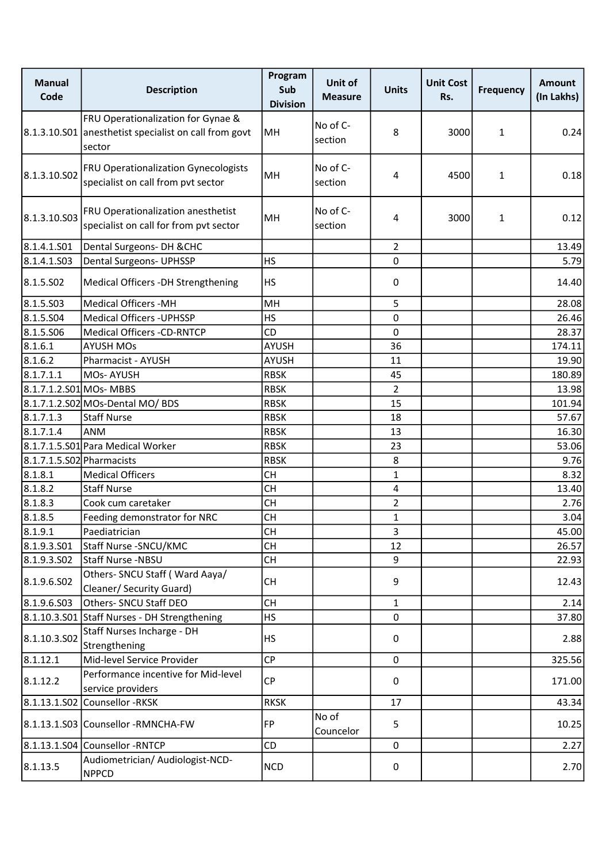| <b>Manual</b><br>Code     | <b>Description</b>                                                                                    | Program<br>Sub<br><b>Division</b> | Unit of<br><b>Measure</b> | <b>Units</b>   | <b>Unit Cost</b><br>Rs. | <b>Frequency</b> | <b>Amount</b><br>(In Lakhs) |
|---------------------------|-------------------------------------------------------------------------------------------------------|-----------------------------------|---------------------------|----------------|-------------------------|------------------|-----------------------------|
|                           | FRU Operationalization for Gynae &<br>8.1.3.10.S01 anesthetist specialist on call from govt<br>sector | MH                                | No of C-<br>section       | 8              | 3000                    | $\mathbf{1}$     | 0.24                        |
| 8.1.3.10.502              | <b>FRU Operationalization Gynecologists</b><br>specialist on call from pvt sector                     | MH                                | No of C-<br>section       | 4              | 4500                    | $\mathbf{1}$     | 0.18                        |
| 8.1.3.10.503              | FRU Operationalization anesthetist<br>specialist on call for from pvt sector                          | <b>MH</b>                         | No of C-<br>section       | 4              | 3000                    | $\mathbf{1}$     | 0.12                        |
| 8.1.4.1.501               | Dental Surgeons- DH & CHC                                                                             |                                   |                           | $\overline{2}$ |                         |                  | 13.49                       |
| 8.1.4.1.S03               | Dental Surgeons- UPHSSP                                                                               | <b>HS</b>                         |                           | 0              |                         |                  | 5.79                        |
| 8.1.5.502                 | Medical Officers -DH Strengthening                                                                    | <b>HS</b>                         |                           | 0              |                         |                  | 14.40                       |
| 8.1.5.503                 | Medical Officers - MH                                                                                 | MH                                |                           | 5              |                         |                  | 28.08                       |
| 8.1.5.504                 | Medical Officers - UPHSSP                                                                             | <b>HS</b>                         |                           | 0              |                         |                  | 26.46                       |
| 8.1.5.506                 | Medical Officers -CD-RNTCP                                                                            | CD                                |                           | 0              |                         |                  | 28.37                       |
| 8.1.6.1                   | <b>AYUSH MOs</b>                                                                                      | <b>AYUSH</b>                      |                           | 36             |                         |                  | 174.11                      |
| 8.1.6.2                   | Pharmacist - AYUSH                                                                                    | <b>AYUSH</b>                      |                           | 11             |                         |                  | 19.90                       |
| 8.1.7.1.1                 | MOs-AYUSH                                                                                             | <b>RBSK</b>                       |                           | 45             |                         |                  | 180.89                      |
| 8.1.7.1.2.S01 MOs- MBBS   |                                                                                                       | <b>RBSK</b>                       |                           | $\overline{2}$ |                         |                  | 13.98                       |
|                           | 8.1.7.1.2.S02 MOs-Dental MO/ BDS                                                                      | <b>RBSK</b>                       |                           | 15             |                         |                  | 101.94                      |
| 8.1.7.1.3                 | <b>Staff Nurse</b>                                                                                    | <b>RBSK</b>                       |                           | 18             |                         |                  | 57.67                       |
| 8.1.7.1.4                 | ANM                                                                                                   | <b>RBSK</b>                       |                           | 13             |                         |                  | 16.30                       |
|                           | 8.1.7.1.5.S01 Para Medical Worker                                                                     | <b>RBSK</b>                       |                           | 23             |                         |                  | 53.06                       |
| 8.1.7.1.5.S02 Pharmacists |                                                                                                       | <b>RBSK</b>                       |                           | 8              |                         |                  | 9.76                        |
| 8.1.8.1                   | <b>Medical Officers</b>                                                                               | <b>CH</b>                         |                           | $\mathbf{1}$   |                         |                  | 8.32                        |
| 8.1.8.2                   | <b>Staff Nurse</b>                                                                                    | <b>CH</b>                         |                           | 4              |                         |                  | 13.40                       |
| 8.1.8.3                   | Cook cum caretaker                                                                                    | <b>CH</b>                         |                           | $\overline{2}$ |                         |                  | 2.76                        |
| 8.1.8.5                   | Feeding demonstrator for NRC                                                                          | <b>CH</b>                         |                           | $\mathbf{1}$   |                         |                  | 3.04                        |
| 8.1.9.1                   | Paediatrician                                                                                         | <b>CH</b>                         |                           | $\overline{3}$ |                         |                  | 45.00                       |
| 8.1.9.3.501               | Staff Nurse - SNCU/KMC                                                                                | <b>CH</b>                         |                           | 12             |                         |                  | 26.57                       |
| 8.1.9.3.502               | Staff Nurse -NBSU                                                                                     | <b>CH</b>                         |                           | 9              |                         |                  | 22.93                       |
| 8.1.9.6.502               | Others- SNCU Staff (Ward Aaya/<br>Cleaner/ Security Guard)                                            | <b>CH</b>                         |                           | 9              |                         |                  | 12.43                       |
| 8.1.9.6.503               | Others- SNCU Staff DEO                                                                                | <b>CH</b>                         |                           | $\mathbf{1}$   |                         |                  | 2.14                        |
|                           | 8.1.10.3.S01 Staff Nurses - DH Strengthening                                                          | <b>HS</b>                         |                           | 0              |                         |                  | 37.80                       |
| 8.1.10.3.502              | Staff Nurses Incharge - DH<br>Strengthening                                                           | <b>HS</b>                         |                           | 0              |                         |                  | 2.88                        |
| 8.1.12.1                  | Mid-level Service Provider                                                                            | <b>CP</b>                         |                           | $\mathbf 0$    |                         |                  | 325.56                      |
| 8.1.12.2                  | Performance incentive for Mid-level<br>service providers                                              | <b>CP</b>                         |                           | 0              |                         |                  | 171.00                      |
|                           | 8.1.13.1.S02 Counsellor -RKSK                                                                         | <b>RKSK</b>                       |                           | 17             |                         |                  | 43.34                       |
|                           | 8.1.13.1.S03 Counsellor -RMNCHA-FW                                                                    | FP                                | No of<br>Councelor        | 5              |                         |                  | 10.25                       |
|                           | 8.1.13.1.S04 Counsellor -RNTCP                                                                        | CD                                |                           | $\mathbf 0$    |                         |                  | 2.27                        |
| 8.1.13.5                  | Audiometrician/ Audiologist-NCD-<br><b>NPPCD</b>                                                      | <b>NCD</b>                        |                           | 0              |                         |                  | 2.70                        |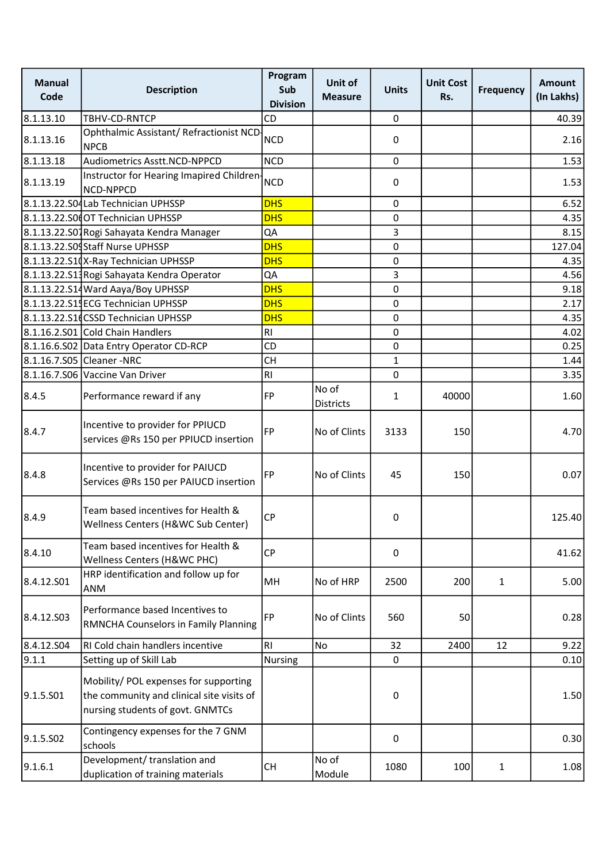| <b>Manual</b><br>Code | <b>Description</b>                                                                                                     | Program<br>Sub<br><b>Division</b> | Unit of<br><b>Measure</b> | <b>Units</b> | <b>Unit Cost</b><br>Rs. | <b>Frequency</b> | <b>Amount</b><br>(In Lakhs) |
|-----------------------|------------------------------------------------------------------------------------------------------------------------|-----------------------------------|---------------------------|--------------|-------------------------|------------------|-----------------------------|
| 8.1.13.10             | TBHV-CD-RNTCP                                                                                                          | CD                                |                           | $\mathbf 0$  |                         |                  | 40.39                       |
| 8.1.13.16             | Ophthalmic Assistant/ Refractionist NCD-<br><b>NPCB</b>                                                                | <b>NCD</b>                        |                           | 0            |                         |                  | 2.16                        |
| 8.1.13.18             | Audiometrics Asstt.NCD-NPPCD                                                                                           | <b>NCD</b>                        |                           | 0            |                         |                  | 1.53                        |
| 8.1.13.19             | Instructor for Hearing Imapired Children-<br>NCD-NPPCD                                                                 | <b>NCD</b>                        |                           | 0            |                         |                  | 1.53                        |
|                       | 8.1.13.22.S04Lab Technician UPHSSP                                                                                     | <b>DHS</b>                        |                           | 0            |                         |                  | 6.52                        |
|                       | 8.1.13.22.S0 OT Technician UPHSSP                                                                                      | <b>DHS</b>                        |                           | 0            |                         |                  | 4.35                        |
|                       | 8.1.13.22.S01 Rogi Sahayata Kendra Manager                                                                             | QA                                |                           | 3            |                         |                  | 8.15                        |
|                       | 8.1.13.22.S09Staff Nurse UPHSSP                                                                                        | <b>DHS</b>                        |                           | 0            |                         |                  | 127.04                      |
|                       | 8.1.13.22.S10X-Ray Technician UPHSSP                                                                                   | <b>DHS</b>                        |                           | 0            |                         |                  | 4.35                        |
|                       | 8.1.13.22.S13 Rogi Sahayata Kendra Operator                                                                            | QA                                |                           | 3            |                         |                  | 4.56                        |
|                       | 8.1.13.22.S14 Ward Aaya/Boy UPHSSP                                                                                     | <b>DHS</b>                        |                           | 0            |                         |                  | 9.18                        |
|                       | 8.1.13.22.S14ECG Technician UPHSSP                                                                                     | <b>DHS</b>                        |                           | 0            |                         |                  | 2.17                        |
|                       | 8.1.13.22.S1dCSSD Technician UPHSSP                                                                                    | <b>DHS</b>                        |                           | 0            |                         |                  | 4.35                        |
|                       | 8.1.16.2.S01 Cold Chain Handlers                                                                                       | R1                                |                           | 0            |                         |                  | 4.02                        |
|                       | 8.1.16.6.S02 Data Entry Operator CD-RCP                                                                                | CD                                |                           | 0            |                         |                  | 0.25                        |
|                       | 8.1.16.7.S05 Cleaner -NRC                                                                                              | <b>CH</b>                         |                           | $\mathbf{1}$ |                         |                  | 1.44                        |
|                       | 8.1.16.7.S06 Vaccine Van Driver                                                                                        | RI                                |                           | 0            |                         |                  | 3.35                        |
| 8.4.5                 | Performance reward if any                                                                                              | FP                                | No of<br><b>Districts</b> | 1            | 40000                   |                  | 1.60                        |
| 8.4.7                 | Incentive to provider for PPIUCD<br>services @Rs 150 per PPIUCD insertion                                              | <b>FP</b>                         | No of Clints              | 3133         | 150                     |                  | 4.70                        |
| 8.4.8                 | Incentive to provider for PAIUCD<br>Services @Rs 150 per PAIUCD insertion                                              | <b>FP</b>                         | No of Clints              | 45           | 150                     |                  | 0.07                        |
| 8.4.9                 | Team based incentives for Health &<br>Wellness Centers (H&WC Sub Center)                                               | <b>CP</b>                         |                           | 0            |                         |                  | 125.40                      |
| 8.4.10                | Team based incentives for Health &<br>Wellness Centers (H&WC PHC)                                                      | <b>CP</b>                         |                           | 0            |                         |                  | 41.62                       |
| 8.4.12.S01            | HRP identification and follow up for<br>ANM                                                                            | MH                                | No of HRP                 | 2500         | 200                     | $\mathbf{1}$     | 5.00                        |
| 8.4.12.503            | Performance based Incentives to<br>RMNCHA Counselors in Family Planning                                                | FP                                | No of Clints              | 560          | 50                      |                  | 0.28                        |
| 8.4.12.504            | RI Cold chain handlers incentive                                                                                       | <b>RI</b>                         | No                        | 32           | 2400                    | 12               | 9.22                        |
| 9.1.1                 | Setting up of Skill Lab                                                                                                | Nursing                           |                           | 0            |                         |                  | 0.10                        |
| 9.1.5.501             | Mobility/ POL expenses for supporting<br>the community and clinical site visits of<br>nursing students of govt. GNMTCs |                                   |                           | 0            |                         |                  | 1.50                        |
| 9.1.5.S02             | Contingency expenses for the 7 GNM<br>schools                                                                          |                                   |                           | 0            |                         |                  | 0.30                        |
| 9.1.6.1               | Development/ translation and<br>duplication of training materials                                                      | CH                                | No of<br>Module           | 1080         | 100                     | $\mathbf{1}$     | 1.08                        |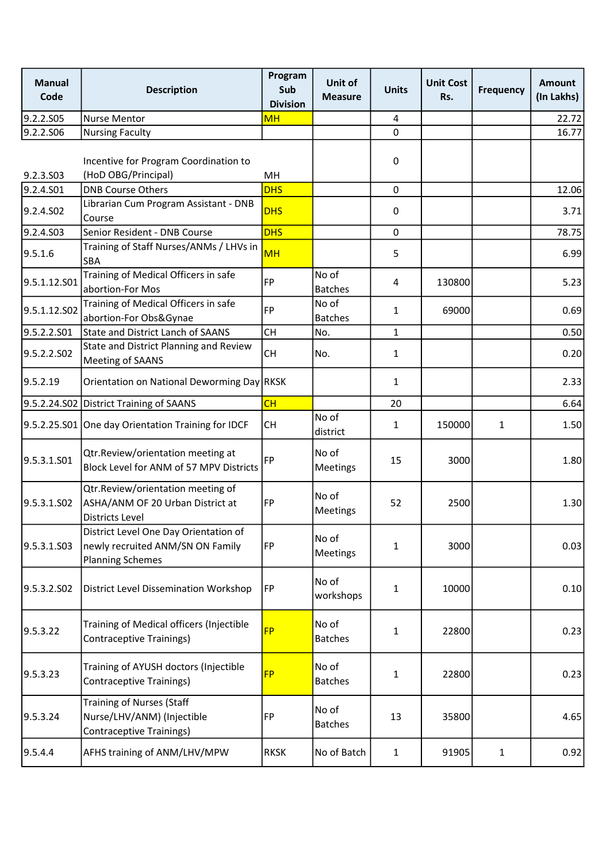| <b>Manual</b><br>Code | <b>Description</b>                                                                                   | Program<br>Sub<br><b>Division</b> | Unit of<br><b>Measure</b> | <b>Units</b>   | <b>Unit Cost</b><br>Rs. | <b>Frequency</b> | <b>Amount</b><br>(In Lakhs) |
|-----------------------|------------------------------------------------------------------------------------------------------|-----------------------------------|---------------------------|----------------|-------------------------|------------------|-----------------------------|
| 9.2.2.S05             | <b>Nurse Mentor</b>                                                                                  | <b>MH</b>                         |                           | $\overline{4}$ |                         |                  | 22.72                       |
| 9.2.2.S06             | <b>Nursing Faculty</b>                                                                               |                                   |                           | $\mathbf 0$    |                         |                  | 16.77                       |
| 9.2.3.S03             | Incentive for Program Coordination to<br>(HoD OBG/Principal)                                         | MН                                |                           | 0              |                         |                  |                             |
| 9.2.4.S01             | <b>DNB Course Others</b>                                                                             | <b>DHS</b>                        |                           | 0              |                         |                  | 12.06                       |
| 9.2.4.SO <sub>2</sub> | Librarian Cum Program Assistant - DNB<br>Course                                                      | <b>DHS</b>                        |                           | 0              |                         |                  | 3.71                        |
| 9.2.4.S03             | Senior Resident - DNB Course                                                                         | <b>DHS</b>                        |                           | 0              |                         |                  | 78.75                       |
| 9.5.1.6               | Training of Staff Nurses/ANMs / LHVs in<br>SBA                                                       | <b>MH</b>                         |                           | 5              |                         |                  | 6.99                        |
| 9.5.1.12.S01          | Training of Medical Officers in safe<br>abortion-For Mos                                             | FP                                | No of<br><b>Batches</b>   | 4              | 130800                  |                  | 5.23                        |
| 9.5.1.12.S02          | Training of Medical Officers in safe<br>abortion-For Obs&Gynae                                       | <b>FP</b>                         | No of<br><b>Batches</b>   | $\mathbf{1}$   | 69000                   |                  | 0.69                        |
| 9.5.2.2.S01           | State and District Lanch of SAANS                                                                    | <b>CH</b>                         | No.                       | $\mathbf{1}$   |                         |                  | 0.50                        |
| 9.5.2.2.SO2           | State and District Planning and Review<br>Meeting of SAANS                                           | <b>CH</b>                         | No.                       | $\mathbf{1}$   |                         |                  | 0.20                        |
| 9.5.2.19              | Orientation on National Deworming Day RKSK                                                           |                                   |                           | $\mathbf{1}$   |                         |                  | 2.33                        |
|                       | 9.5.2.24.S02 District Training of SAANS                                                              | CH                                |                           | 20             |                         |                  | 6.64                        |
|                       | 9.5.2.25.S01 One day Orientation Training for IDCF                                                   | <b>CH</b>                         | No of<br>district         | 1              | 150000                  | 1                | 1.50                        |
| 9.5.3.1.S01           | Qtr.Review/orientation meeting at<br>Block Level for ANM of 57 MPV Districts                         | FP                                | No of<br><b>Meetings</b>  | 15             | 3000                    |                  | 1.80                        |
| 9.5.3.1.SO2           | Qtr.Review/orientation meeting of<br>ASHA/ANM OF 20 Urban District at<br><b>Districts Level</b>      | FP                                | No of<br>Meetings         | 52             | 2500                    |                  | 1.30                        |
| 9.5.3.1.S03           | District Level One Day Orientation of<br>newly recruited ANM/SN ON Family<br><b>Planning Schemes</b> | FP                                | No of<br><b>Meetings</b>  | 1              | 3000                    |                  | 0.03                        |
| 9.5.3.2.502           | <b>District Level Dissemination Workshop</b>                                                         | FP                                | No of<br>workshops        | 1              | 10000                   |                  | 0.10                        |
| 9.5.3.22              | Training of Medical officers (Injectible<br>Contraceptive Trainings)                                 | <b>FP</b>                         | No of<br><b>Batches</b>   | $\mathbf{1}$   | 22800                   |                  | 0.23                        |
| 9.5.3.23              | Training of AYUSH doctors (Injectible<br>Contraceptive Trainings)                                    | <b>FP</b>                         | No of<br><b>Batches</b>   | 1              | 22800                   |                  | 0.23                        |
| 9.5.3.24              | <b>Training of Nurses (Staff</b><br>Nurse/LHV/ANM) (Injectible<br><b>Contraceptive Trainings)</b>    | FP                                | No of<br><b>Batches</b>   | 13             | 35800                   |                  | 4.65                        |
| 9.5.4.4               | AFHS training of ANM/LHV/MPW                                                                         | <b>RKSK</b>                       | No of Batch               | $\mathbf{1}$   | 91905                   | $\mathbf{1}$     | 0.92                        |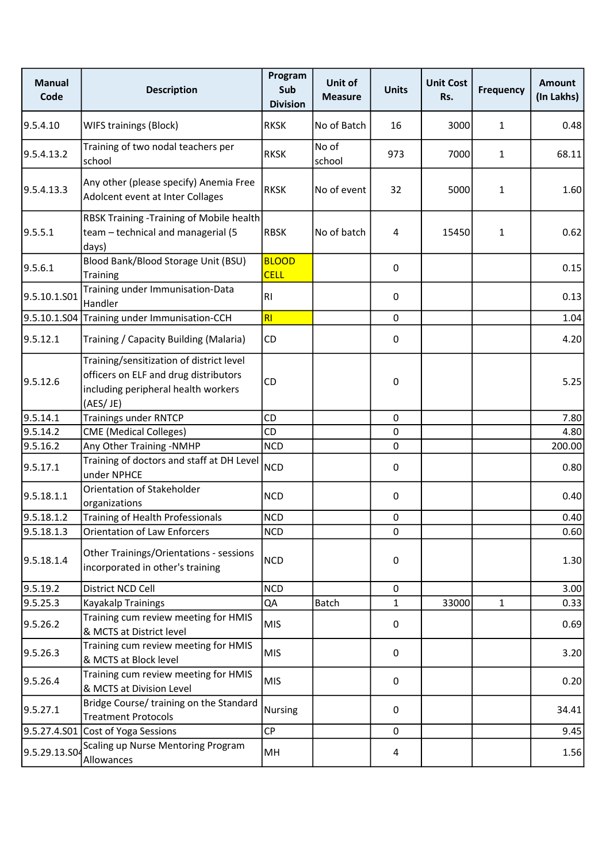| <b>Manual</b><br>Code | <b>Description</b>                                                                                                                   | Program<br>Sub<br><b>Division</b> | Unit of<br><b>Measure</b> | <b>Units</b> | <b>Unit Cost</b><br>Rs. | <b>Frequency</b> | <b>Amount</b><br>(In Lakhs) |
|-----------------------|--------------------------------------------------------------------------------------------------------------------------------------|-----------------------------------|---------------------------|--------------|-------------------------|------------------|-----------------------------|
| 9.5.4.10              | <b>WIFS trainings (Block)</b>                                                                                                        | <b>RKSK</b>                       | No of Batch               | 16           | 3000                    | $\mathbf{1}$     | 0.48                        |
| 9.5.4.13.2            | Training of two nodal teachers per<br>school                                                                                         | <b>RKSK</b>                       | No of<br>school           | 973          | 7000                    | $\mathbf{1}$     | 68.11                       |
| 9.5.4.13.3            | Any other (please specify) Anemia Free<br>Adolcent event at Inter Collages                                                           | <b>RKSK</b>                       | No of event               | 32           | 5000                    | $\mathbf{1}$     | 1.60                        |
| 9.5.5.1               | RBSK Training - Training of Mobile health<br>team - technical and managerial (5<br>days)                                             | RBSK                              | No of batch               | 4            | 15450                   | $\mathbf{1}$     | 0.62                        |
| 9.5.6.1               | Blood Bank/Blood Storage Unit (BSU)<br><b>Training</b>                                                                               | <b>BLOOD</b><br><b>CELL</b>       |                           | 0            |                         |                  | 0.15                        |
| 9.5.10.1.S01          | Training under Immunisation-Data<br>Handler                                                                                          | R <sub>1</sub>                    |                           | 0            |                         |                  | 0.13                        |
|                       | 9.5.10.1.S04 Training under Immunisation-CCH                                                                                         | RI                                |                           | 0            |                         |                  | 1.04                        |
| 9.5.12.1              | Training / Capacity Building (Malaria)                                                                                               | CD                                |                           | 0            |                         |                  | 4.20                        |
| 9.5.12.6              | Training/sensitization of district level<br>officers on ELF and drug distributors<br>including peripheral health workers<br>(AES/JE) | CD                                |                           | 0            |                         |                  | 5.25                        |
| 9.5.14.1              | <b>Trainings under RNTCP</b>                                                                                                         | CD                                |                           | 0            |                         |                  | 7.80                        |
| 9.5.14.2              | <b>CME</b> (Medical Colleges)                                                                                                        | CD                                |                           | 0            |                         |                  | 4.80                        |
| 9.5.16.2              | Any Other Training -NMHP                                                                                                             | <b>NCD</b>                        |                           | 0            |                         |                  | 200.00                      |
| 9.5.17.1              | Training of doctors and staff at DH Level<br>under NPHCE                                                                             | <b>NCD</b>                        |                           | 0            |                         |                  | 0.80                        |
| 9.5.18.1.1            | Orientation of Stakeholder<br>organizations                                                                                          | <b>NCD</b>                        |                           | 0            |                         |                  | 0.40                        |
| 9.5.18.1.2            | Training of Health Professionals                                                                                                     | <b>NCD</b>                        |                           | 0            |                         |                  | 0.40                        |
| 9.5.18.1.3            | <b>Orientation of Law Enforcers</b>                                                                                                  | <b>NCD</b>                        |                           | 0            |                         |                  | 0.60                        |
| 9.5.18.1.4            | Other Trainings/Orientations - sessions<br>incorporated in other's training                                                          | <b>NCD</b>                        |                           | 0            |                         |                  | 1.30                        |
| 9.5.19.2              | District NCD Cell                                                                                                                    | <b>NCD</b>                        |                           | 0            |                         |                  | 3.00                        |
| 9.5.25.3              | Kayakalp Trainings                                                                                                                   | QA                                | Batch                     | 1            | 33000                   | $\mathbf{1}$     | 0.33                        |
| 9.5.26.2              | Training cum review meeting for HMIS<br>& MCTS at District level                                                                     | <b>MIS</b>                        |                           | 0            |                         |                  | 0.69                        |
| 9.5.26.3              | Training cum review meeting for HMIS<br>& MCTS at Block level                                                                        | <b>MIS</b>                        |                           | 0            |                         |                  | 3.20                        |
| 9.5.26.4              | Training cum review meeting for HMIS<br>& MCTS at Division Level                                                                     | <b>MIS</b>                        |                           | 0            |                         |                  | 0.20                        |
| 9.5.27.1              | Bridge Course/ training on the Standard<br><b>Treatment Protocols</b>                                                                | <b>Nursing</b>                    |                           | 0            |                         |                  | 34.41                       |
|                       | 9.5.27.4.S01 Cost of Yoga Sessions                                                                                                   | CP                                |                           | 0            |                         |                  | 9.45                        |
| 9.5.29.13.S04         | Scaling up Nurse Mentoring Program<br>Allowances                                                                                     | MH                                |                           | 4            |                         |                  | 1.56                        |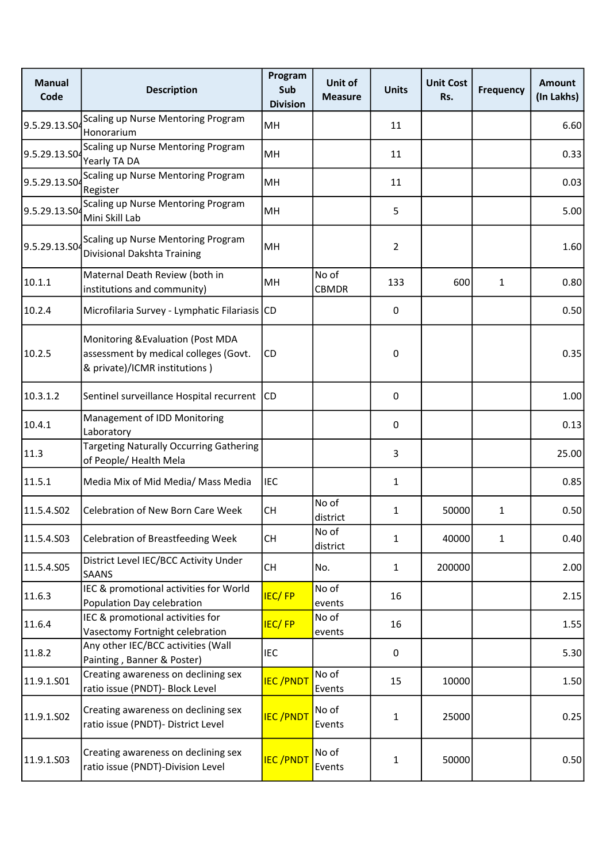| <b>Manual</b><br>Code | <b>Description</b>                                                                                           | Program<br>Sub<br><b>Division</b> | Unit of<br><b>Measure</b> | <b>Units</b>   | <b>Unit Cost</b><br>Rs. | <b>Frequency</b> | <b>Amount</b><br>(In Lakhs) |
|-----------------------|--------------------------------------------------------------------------------------------------------------|-----------------------------------|---------------------------|----------------|-------------------------|------------------|-----------------------------|
| 9.5.29.13.SO4         | Scaling up Nurse Mentoring Program<br>Honorarium                                                             | MH                                |                           | 11             |                         |                  | 6.60                        |
| 9.5.29.13.S04         | Scaling up Nurse Mentoring Program<br>Yearly TA DA                                                           | MH                                |                           | 11             |                         |                  | 0.33                        |
| 9.5.29.13.S04         | Scaling up Nurse Mentoring Program<br>Register                                                               | MH                                |                           | 11             |                         |                  | 0.03                        |
| 9.5.29.13.SO          | Scaling up Nurse Mentoring Program<br>Mini Skill Lab                                                         | MH                                |                           | 5              |                         |                  | 5.00                        |
| 9.5.29.13.S04         | Scaling up Nurse Mentoring Program<br>Divisional Dakshta Training                                            | MH                                |                           | $\overline{2}$ |                         |                  | 1.60                        |
| 10.1.1                | Maternal Death Review (both in<br>institutions and community)                                                | MH                                | No of<br><b>CBMDR</b>     | 133            | 600                     | $\mathbf{1}$     | 0.80                        |
| 10.2.4                | Microfilaria Survey - Lymphatic Filariasis CD                                                                |                                   |                           | 0              |                         |                  | 0.50                        |
| 10.2.5                | Monitoring & Evaluation (Post MDA<br>assessment by medical colleges (Govt.<br>& private)/ICMR institutions ) | CD                                |                           | 0              |                         |                  | 0.35                        |
| 10.3.1.2              | Sentinel surveillance Hospital recurrent CD                                                                  |                                   |                           | 0              |                         |                  | 1.00                        |
| 10.4.1                | Management of IDD Monitoring<br>Laboratory                                                                   |                                   |                           | 0              |                         |                  | 0.13                        |
| 11.3                  | <b>Targeting Naturally Occurring Gathering</b><br>of People/ Health Mela                                     |                                   |                           | 3              |                         |                  | 25.00                       |
| 11.5.1                | Media Mix of Mid Media/ Mass Media                                                                           | <b>IEC</b>                        |                           | 1              |                         |                  | 0.85                        |
| 11.5.4.S02            | <b>Celebration of New Born Care Week</b>                                                                     | <b>CH</b>                         | No of<br>district         | 1              | 50000                   | $\mathbf{1}$     | 0.50                        |
| 11.5.4.S03            | Celebration of Breastfeeding Week                                                                            | <b>CH</b>                         | No of<br>district         | 1              | 40000                   | $\mathbf{1}$     | 0.40                        |
| 11.5.4.S05            | District Level IEC/BCC Activity Under<br><b>SAANS</b>                                                        | <b>CH</b>                         | No.                       | $\mathbf{1}$   | 200000                  |                  | 2.00                        |
| 11.6.3                | IEC & promotional activities for World<br>Population Day celebration                                         | <b>IEC/FP</b>                     | No of<br>events           | 16             |                         |                  | 2.15                        |
| 11.6.4                | IEC & promotional activities for<br>Vasectomy Fortnight celebration                                          | <b>IEC/FP</b>                     | No of<br>events           | 16             |                         |                  | 1.55                        |
| 11.8.2                | Any other IEC/BCC activities (Wall<br>Painting, Banner & Poster)                                             | <b>IEC</b>                        |                           | 0              |                         |                  | 5.30                        |
| 11.9.1.S01            | Creating awareness on declining sex<br>ratio issue (PNDT)- Block Level                                       | <b>IEC/PNDT</b>                   | No of<br>Events           | 15             | 10000                   |                  | 1.50                        |
| 11.9.1.SO2            | Creating awareness on declining sex<br>ratio issue (PNDT)- District Level                                    | <b>IEC/PNDT</b>                   | No of<br>Events           | 1              | 25000                   |                  | 0.25                        |
| 11.9.1.S03            | Creating awareness on declining sex<br>ratio issue (PNDT)-Division Level                                     | <b>IEC/PNDT</b>                   | No of<br>Events           | 1              | 50000                   |                  | 0.50                        |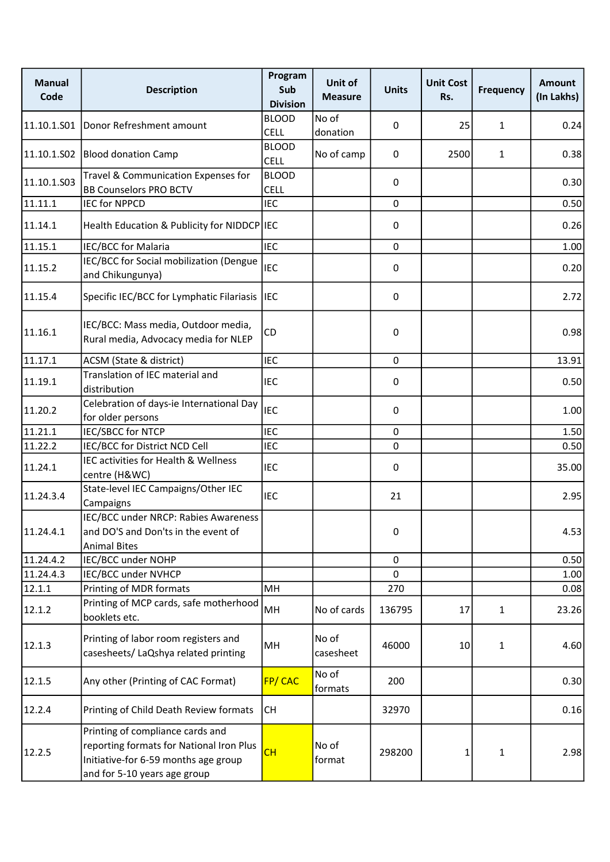| <b>Manual</b><br>Code | <b>Description</b>                                                                                                                                   | Program<br>Sub<br><b>Division</b> | Unit of<br><b>Measure</b> | <b>Units</b> | <b>Unit Cost</b><br>Rs. | <b>Frequency</b> | <b>Amount</b><br>(In Lakhs) |
|-----------------------|------------------------------------------------------------------------------------------------------------------------------------------------------|-----------------------------------|---------------------------|--------------|-------------------------|------------------|-----------------------------|
|                       | 11.10.1.S01 Donor Refreshment amount                                                                                                                 | <b>BLOOD</b><br><b>CELL</b>       | No of<br>donation         | 0            | 25                      | $\mathbf{1}$     | 0.24                        |
| 11.10.1.S02           | <b>Blood donation Camp</b>                                                                                                                           | <b>BLOOD</b><br><b>CELL</b>       | No of camp                | 0            | 2500                    | $\mathbf{1}$     | 0.38                        |
| 11.10.1.503           | Travel & Communication Expenses for<br><b>BB Counselors PRO BCTV</b>                                                                                 | <b>BLOOD</b><br><b>CELL</b>       |                           | 0            |                         |                  | 0.30                        |
| 11.11.1               | IEC for NPPCD                                                                                                                                        | <b>IEC</b>                        |                           | 0            |                         |                  | 0.50                        |
| 11.14.1               | Health Education & Publicity for NIDDCP IEC                                                                                                          |                                   |                           | 0            |                         |                  | 0.26                        |
| 11.15.1               | IEC/BCC for Malaria                                                                                                                                  | <b>IEC</b>                        |                           | 0            |                         |                  | 1.00                        |
| 11.15.2               | IEC/BCC for Social mobilization (Dengue<br>and Chikungunya)                                                                                          | <b>IEC</b>                        |                           | 0            |                         |                  | 0.20                        |
| 11.15.4               | Specific IEC/BCC for Lymphatic Filariasis                                                                                                            | <b>IEC</b>                        |                           | 0            |                         |                  | 2.72                        |
| 11.16.1               | IEC/BCC: Mass media, Outdoor media,<br>Rural media, Advocacy media for NLEP                                                                          | <b>CD</b>                         |                           | 0            |                         |                  | 0.98                        |
| 11.17.1               | ACSM (State & district)                                                                                                                              | <b>IEC</b>                        |                           | $\mathbf 0$  |                         |                  | 13.91                       |
| 11.19.1               | Translation of IEC material and<br>distribution                                                                                                      | IEC                               |                           | 0            |                         |                  | 0.50                        |
| 11.20.2               | Celebration of days-ie International Day<br>for older persons                                                                                        | IEC                               |                           | $\mathbf 0$  |                         |                  | 1.00                        |
| 11.21.1               | <b>IEC/SBCC for NTCP</b>                                                                                                                             | <b>IEC</b>                        |                           | $\mathbf 0$  |                         |                  | 1.50                        |
| 11.22.2               | IEC/BCC for District NCD Cell                                                                                                                        | IEC                               |                           | 0            |                         |                  | 0.50                        |
| 11.24.1               | IEC activities for Health & Wellness<br>centre (H&WC)                                                                                                | <b>IEC</b>                        |                           | 0            |                         |                  | 35.00                       |
| 11.24.3.4             | State-level IEC Campaigns/Other IEC<br>Campaigns                                                                                                     | IEC                               |                           | 21           |                         |                  | 2.95                        |
| 11.24.4.1             | IEC/BCC under NRCP: Rabies Awareness<br>and DO'S and Don'ts in the event of<br><b>Animal Bites</b>                                                   |                                   |                           | 0            |                         |                  | 4.53                        |
| 11.24.4.2             | IEC/BCC under NOHP                                                                                                                                   |                                   |                           | $\pmb{0}$    |                         |                  | 0.50                        |
| 11.24.4.3             | IEC/BCC under NVHCP                                                                                                                                  |                                   |                           | 0            |                         |                  | 1.00                        |
| 12.1.1                | Printing of MDR formats                                                                                                                              | MH                                |                           | 270          |                         |                  | 0.08                        |
| 12.1.2                | Printing of MCP cards, safe motherhood<br>booklets etc.                                                                                              | MH                                | No of cards               | 136795       | 17                      | $\mathbf{1}$     | 23.26                       |
| 12.1.3                | Printing of labor room registers and<br>casesheets/ LaQshya related printing                                                                         | MH                                | No of<br>casesheet        | 46000        | 10 <sup>1</sup>         | $\mathbf{1}$     | 4.60                        |
| 12.1.5                | Any other (Printing of CAC Format)                                                                                                                   | FP/CAC                            | No of<br>formats          | 200          |                         |                  | 0.30                        |
| 12.2.4                | Printing of Child Death Review formats                                                                                                               | <b>CH</b>                         |                           | 32970        |                         |                  | 0.16                        |
| 12.2.5                | Printing of compliance cards and<br>reporting formats for National Iron Plus<br>Initiative-for 6-59 months age group<br>and for 5-10 years age group | CH                                | No of<br>format           | 298200       | 1                       | $\mathbf{1}$     | 2.98                        |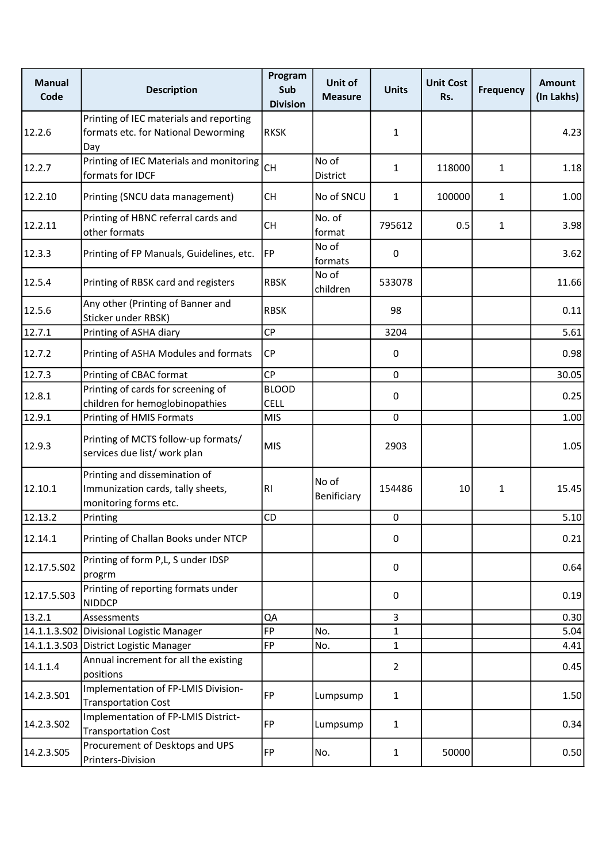| <b>Manual</b><br>Code | <b>Description</b>                                                                          | Program<br>Sub<br><b>Division</b> | Unit of<br><b>Measure</b> | <b>Units</b>   | <b>Unit Cost</b><br>Rs. | <b>Frequency</b> | Amount<br>(In Lakhs) |
|-----------------------|---------------------------------------------------------------------------------------------|-----------------------------------|---------------------------|----------------|-------------------------|------------------|----------------------|
| 12.2.6                | Printing of IEC materials and reporting<br>formats etc. for National Deworming<br>Day       | <b>RKSK</b>                       |                           | $\mathbf{1}$   |                         |                  | 4.23                 |
| 12.2.7                | Printing of IEC Materials and monitoring<br>formats for IDCF                                | <b>CH</b>                         | No of<br>District         | 1              | 118000                  | $\mathbf{1}$     | 1.18                 |
| 12.2.10               | Printing (SNCU data management)                                                             | <b>CH</b>                         | No of SNCU                | 1              | 100000                  | $\mathbf{1}$     | 1.00                 |
| 12.2.11               | Printing of HBNC referral cards and<br>other formats                                        | <b>CH</b>                         | No. of<br>format          | 795612         | 0.5                     | $\mathbf{1}$     | 3.98                 |
| 12.3.3                | Printing of FP Manuals, Guidelines, etc.                                                    | FP]                               | No of<br>formats          | 0              |                         |                  | 3.62                 |
| 12.5.4                | Printing of RBSK card and registers                                                         | <b>RBSK</b>                       | No of<br>children         | 533078         |                         |                  | 11.66                |
| 12.5.6                | Any other (Printing of Banner and<br>Sticker under RBSK)                                    | <b>RBSK</b>                       |                           | 98             |                         |                  | 0.11                 |
| 12.7.1                | Printing of ASHA diary                                                                      | CP                                |                           | 3204           |                         |                  | 5.61                 |
| 12.7.2                | Printing of ASHA Modules and formats                                                        | CP                                |                           | 0              |                         |                  | 0.98                 |
| 12.7.3                | Printing of CBAC format                                                                     | <b>CP</b>                         |                           | 0              |                         |                  | 30.05                |
| 12.8.1                | Printing of cards for screening of<br>children for hemoglobinopathies                       | <b>BLOOD</b><br>CELL              |                           | $\pmb{0}$      |                         |                  | 0.25                 |
| 12.9.1                | Printing of HMIS Formats                                                                    | <b>MIS</b>                        |                           | $\pmb{0}$      |                         |                  | 1.00                 |
| 12.9.3                | Printing of MCTS follow-up formats/<br>services due list/ work plan                         | <b>MIS</b>                        |                           | 2903           |                         |                  | 1.05                 |
| 12.10.1               | Printing and dissemination of<br>Immunization cards, tally sheets,<br>monitoring forms etc. | RI.                               | No of<br>Benificiary      | 154486         | 10                      | $\mathbf{1}$     | 15.45                |
| 12.13.2               | Printing                                                                                    | CD                                |                           | 0              |                         |                  | 5.10                 |
| 12.14.1               | Printing of Challan Books under NTCP                                                        |                                   |                           | 0              |                         |                  | 0.21                 |
| 12.17.5.502           | Printing of form P,L, S under IDSP<br>progrm                                                |                                   |                           | 0              |                         |                  | 0.64                 |
| 12.17.5.503           | Printing of reporting formats under<br><b>NIDDCP</b>                                        |                                   |                           | 0              |                         |                  | 0.19                 |
| 13.2.1                | Assessments                                                                                 | QA                                |                           | $\overline{3}$ |                         |                  | 0.30                 |
|                       | 14.1.1.3.S02 Divisional Logistic Manager                                                    | FP                                | No.                       | $\mathbf{1}$   |                         |                  | 5.04                 |
|                       | 14.1.1.3.S03 District Logistic Manager                                                      | FP                                | No.                       | 1              |                         |                  | 4.41                 |
| 14.1.1.4              | Annual increment for all the existing<br>positions                                          |                                   |                           | $\overline{2}$ |                         |                  | 0.45                 |
| 14.2.3.S01            | Implementation of FP-LMIS Division-<br><b>Transportation Cost</b>                           | <b>FP</b>                         | Lumpsump                  | $\mathbf{1}$   |                         |                  | 1.50                 |
| 14.2.3.S02            | Implementation of FP-LMIS District-<br><b>Transportation Cost</b>                           | FP                                | Lumpsump                  | $\mathbf{1}$   |                         |                  | 0.34                 |
| 14.2.3.S05            | Procurement of Desktops and UPS<br>Printers-Division                                        | FP                                | No.                       | $\mathbf{1}$   | 50000                   |                  | 0.50                 |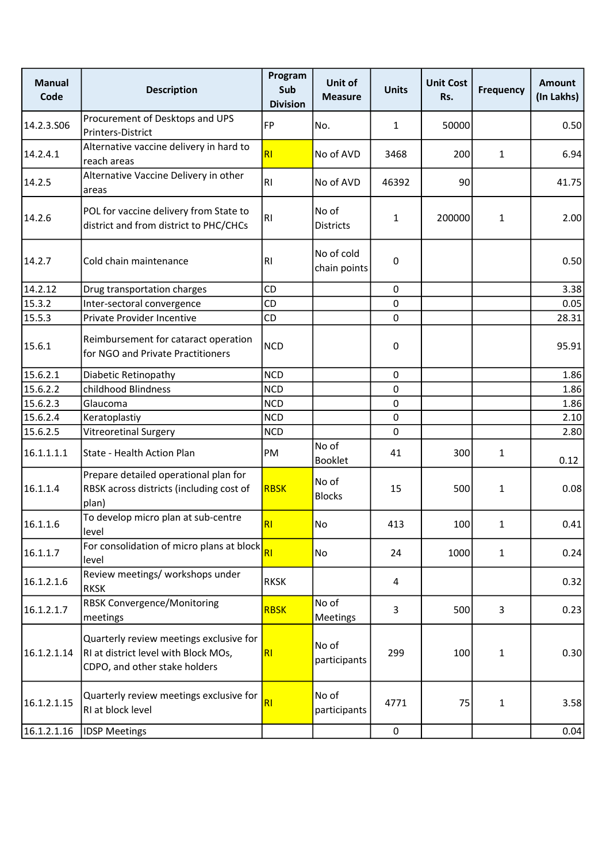| <b>Manual</b><br>Code | <b>Description</b>                                                                                               | Program<br>Sub<br><b>Division</b> | Unit of<br><b>Measure</b>  | <b>Units</b> | <b>Unit Cost</b><br>Rs. | <b>Frequency</b> | <b>Amount</b><br>(In Lakhs) |
|-----------------------|------------------------------------------------------------------------------------------------------------------|-----------------------------------|----------------------------|--------------|-------------------------|------------------|-----------------------------|
| 14.2.3.506            | Procurement of Desktops and UPS<br>Printers-District                                                             | FP                                | No.                        | $\mathbf{1}$ | 50000                   |                  | 0.50                        |
| 14.2.4.1              | Alternative vaccine delivery in hard to<br>reach areas                                                           | R1                                | No of AVD                  | 3468         | 200                     | $\mathbf{1}$     | 6.94                        |
| 14.2.5                | Alternative Vaccine Delivery in other<br>areas                                                                   | RI.                               | No of AVD                  | 46392        | 90                      |                  | 41.75                       |
| 14.2.6                | POL for vaccine delivery from State to<br>district and from district to PHC/CHCs                                 | R1                                | No of<br><b>Districts</b>  | 1            | 200000                  | $\mathbf{1}$     | 2.00                        |
| 14.2.7                | Cold chain maintenance                                                                                           | R1                                | No of cold<br>chain points | 0            |                         |                  | 0.50                        |
| 14.2.12               | Drug transportation charges                                                                                      | CD                                |                            | 0            |                         |                  | 3.38                        |
| $\sqrt{15.3.2}$       | Inter-sectoral convergence                                                                                       | CD                                |                            | 0            |                         |                  | 0.05                        |
| 15.5.3                | Private Provider Incentive                                                                                       | CD                                |                            | 0            |                         |                  | 28.31                       |
| 15.6.1                | Reimbursement for cataract operation<br>for NGO and Private Practitioners                                        | <b>NCD</b>                        |                            | 0            |                         |                  | 95.91                       |
| 15.6.2.1              | Diabetic Retinopathy                                                                                             | <b>NCD</b>                        |                            | 0            |                         |                  | 1.86                        |
| 15.6.2.2              | childhood Blindness                                                                                              | <b>NCD</b>                        |                            | 0            |                         |                  | 1.86                        |
| 15.6.2.3              | Glaucoma                                                                                                         | <b>NCD</b>                        |                            | 0            |                         |                  | 1.86                        |
| 15.6.2.4              | Keratoplastiy                                                                                                    | <b>NCD</b>                        |                            | 0            |                         |                  | 2.10                        |
| 15.6.2.5              | <b>Vitreoretinal Surgery</b>                                                                                     | <b>NCD</b>                        |                            | 0            |                         |                  | 2.80                        |
| 16.1.1.1.1            | State - Health Action Plan                                                                                       | PM                                | No of<br>Booklet           | 41           | 300                     | $\mathbf{1}$     | 0.12                        |
| 16.1.1.4              | Prepare detailed operational plan for<br>RBSK across districts (including cost of<br>plan)                       | <b>RBSK</b>                       | No of<br><b>Blocks</b>     | 15           | 500                     | $\mathbf{1}$     | 0.08                        |
| 16.1.1.6              | To develop micro plan at sub-centre<br>level                                                                     | R <sub>1</sub>                    | No                         | 413          | 100                     | 1                | 0.41                        |
| 16.1.1.7              | For consolidation of micro plans at block<br>level                                                               | R1                                | No                         | 24           | 1000                    | $\mathbf{1}$     | 0.24                        |
| 16.1.2.1.6            | Review meetings/ workshops under<br><b>RKSK</b>                                                                  | <b>RKSK</b>                       |                            | 4            |                         |                  | 0.32                        |
| 16.1.2.1.7            | <b>RBSK Convergence/Monitoring</b><br>meetings                                                                   | <b>RBSK</b>                       | No of<br>Meetings          | 3            | 500                     | 3                | 0.23                        |
| 16.1.2.1.14           | Quarterly review meetings exclusive for<br>RI at district level with Block MOs,<br>CDPO, and other stake holders | R1                                | No of<br>participants      | 299          | 100                     | $\mathbf{1}$     | 0.30                        |
| 16.1.2.1.15           | Quarterly review meetings exclusive for<br>RI at block level                                                     | R <sub>l</sub>                    | No of<br>participants      | 4771         | 75                      | $\mathbf{1}$     | 3.58                        |
| 16.1.2.1.16           | <b>IDSP Meetings</b>                                                                                             |                                   |                            | 0            |                         |                  | 0.04                        |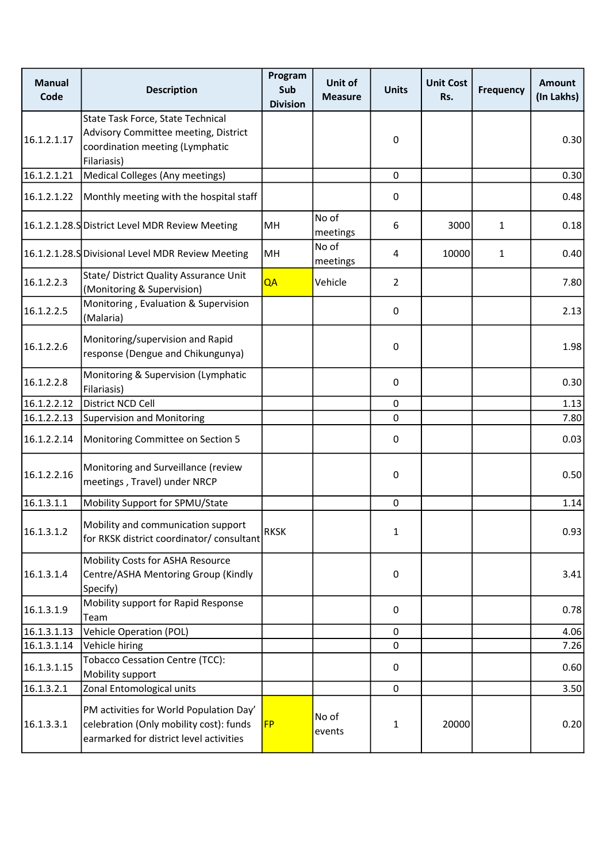| <b>Manual</b><br>Code | <b>Description</b>                                                                                                            | Program<br>Sub<br><b>Division</b> | Unit of<br><b>Measure</b> | <b>Units</b>   | <b>Unit Cost</b><br>Rs. | <b>Frequency</b> | <b>Amount</b><br>(In Lakhs) |
|-----------------------|-------------------------------------------------------------------------------------------------------------------------------|-----------------------------------|---------------------------|----------------|-------------------------|------------------|-----------------------------|
| 16.1.2.1.17           | State Task Force, State Technical<br>Advisory Committee meeting, District<br>coordination meeting (Lymphatic<br>Filariasis)   |                                   |                           | 0              |                         |                  | 0.30                        |
| 16.1.2.1.21           | Medical Colleges (Any meetings)                                                                                               |                                   |                           | $\mathbf{0}$   |                         |                  | 0.30                        |
| 16.1.2.1.22           | Monthly meeting with the hospital staff                                                                                       |                                   |                           | 0              |                         |                  | 0.48                        |
|                       | 16.1.2.1.28.S District Level MDR Review Meeting                                                                               | MH                                | No of<br>meetings         | 6              | 3000                    | $\mathbf{1}$     | 0.18                        |
|                       | 16.1.2.1.28.S Divisional Level MDR Review Meeting                                                                             | MH                                | No of<br>meetings         | 4              | 10000                   | $\mathbf{1}$     | 0.40                        |
| 16.1.2.2.3            | State/ District Quality Assurance Unit<br>(Monitoring & Supervision)                                                          | QA                                | Vehicle                   | $\overline{2}$ |                         |                  | 7.80                        |
| 16.1.2.2.5            | Monitoring, Evaluation & Supervision<br>(Malaria)                                                                             |                                   |                           | 0              |                         |                  | 2.13                        |
| 16.1.2.2.6            | Monitoring/supervision and Rapid<br>response (Dengue and Chikungunya)                                                         |                                   |                           | 0              |                         |                  | 1.98                        |
| 16.1.2.2.8            | Monitoring & Supervision (Lymphatic<br>Filariasis)                                                                            |                                   |                           | 0              |                         |                  | 0.30                        |
| 16.1.2.2.12           | District NCD Cell                                                                                                             |                                   |                           | $\mathbf 0$    |                         |                  | 1.13                        |
| 16.1.2.2.13           | Supervision and Monitoring                                                                                                    |                                   |                           | 0              |                         |                  | 7.80                        |
| 16.1.2.2.14           | Monitoring Committee on Section 5                                                                                             |                                   |                           | 0              |                         |                  | 0.03                        |
| 16.1.2.2.16           | Monitoring and Surveillance (review<br>meetings, Travel) under NRCP                                                           |                                   |                           | 0              |                         |                  | 0.50                        |
| 16.1.3.1.1            | Mobility Support for SPMU/State                                                                                               |                                   |                           | 0              |                         |                  | 1.14                        |
| 16.1.3.1.2            | Mobility and communication support<br>for RKSK district coordinator/ consultant                                               | <b>RKSK</b>                       |                           | 1              |                         |                  | 0.93                        |
| 16.1.3.1.4            | Mobility Costs for ASHA Resource<br>Centre/ASHA Mentoring Group (Kindly<br>Specify)                                           |                                   |                           | $\pmb{0}$      |                         |                  | 3.41                        |
| 16.1.3.1.9            | Mobility support for Rapid Response<br>Team                                                                                   |                                   |                           | 0              |                         |                  | 0.78                        |
| 16.1.3.1.13           | Vehicle Operation (POL)                                                                                                       |                                   |                           | 0              |                         |                  | 4.06                        |
| 16.1.3.1.14           | Vehicle hiring                                                                                                                |                                   |                           | 0              |                         |                  | 7.26                        |
| 16.1.3.1.15           | <b>Tobacco Cessation Centre (TCC):</b><br>Mobility support                                                                    |                                   |                           | 0              |                         |                  | 0.60                        |
| 16.1.3.2.1            | Zonal Entomological units                                                                                                     |                                   |                           | $\mathbf 0$    |                         |                  | 3.50                        |
| 16.1.3.3.1            | PM activities for World Population Day'<br>celebration (Only mobility cost): funds<br>earmarked for district level activities | <b>FP</b>                         | No of<br>events           | 1              | 20000                   |                  | 0.20                        |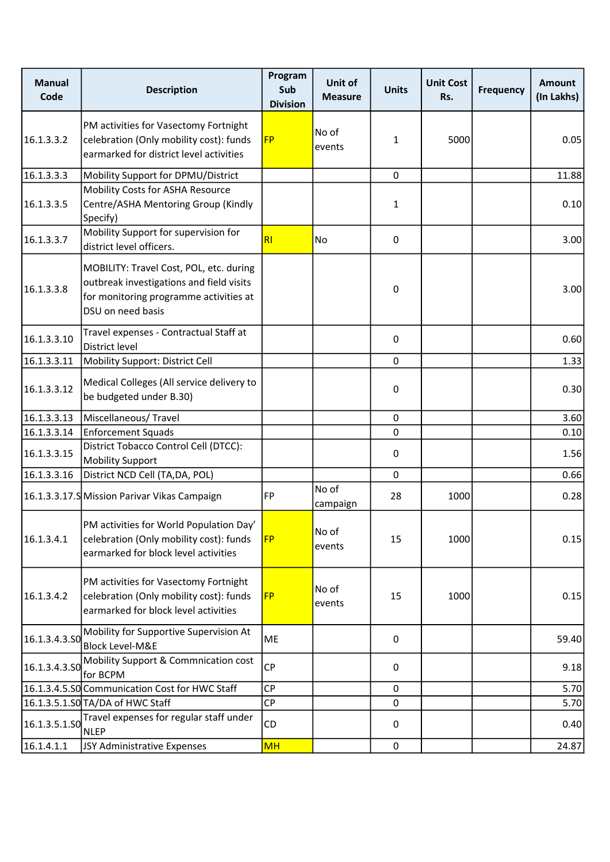| <b>Manual</b><br>Code | <b>Description</b>                                                                                                                                 | Program<br>Sub<br><b>Division</b> | Unit of<br><b>Measure</b> | <b>Units</b> | <b>Unit Cost</b><br>Rs. | <b>Frequency</b> | <b>Amount</b><br>(In Lakhs) |
|-----------------------|----------------------------------------------------------------------------------------------------------------------------------------------------|-----------------------------------|---------------------------|--------------|-------------------------|------------------|-----------------------------|
| 16.1.3.3.2            | PM activities for Vasectomy Fortnight<br>celebration (Only mobility cost): funds<br>earmarked for district level activities                        | <b>FP</b>                         | No of<br>events           | $\mathbf{1}$ | 5000                    |                  | 0.05                        |
| 16.1.3.3.3            | Mobility Support for DPMU/District                                                                                                                 |                                   |                           | $\mathbf 0$  |                         |                  | 11.88                       |
| 16.1.3.3.5            | Mobility Costs for ASHA Resource<br>Centre/ASHA Mentoring Group (Kindly<br>Specify)                                                                |                                   |                           | 1            |                         |                  | 0.10                        |
| 16.1.3.3.7            | Mobility Support for supervision for<br>district level officers.                                                                                   | RI                                | No                        | 0            |                         |                  | 3.00                        |
| 16.1.3.3.8            | MOBILITY: Travel Cost, POL, etc. during<br>outbreak investigations and field visits<br>for monitoring programme activities at<br>DSU on need basis |                                   |                           | 0            |                         |                  | 3.00                        |
| 16.1.3.3.10           | Travel expenses - Contractual Staff at<br>District level                                                                                           |                                   |                           | 0            |                         |                  | 0.60                        |
| 16.1.3.3.11           | Mobility Support: District Cell                                                                                                                    |                                   |                           | $\mathbf 0$  |                         |                  | 1.33                        |
| 16.1.3.3.12           | Medical Colleges (All service delivery to<br>be budgeted under B.30)                                                                               |                                   |                           | 0            |                         |                  | 0.30                        |
| 16.1.3.3.13           | Miscellaneous/Travel                                                                                                                               |                                   |                           | 0            |                         |                  | 3.60                        |
| 16.1.3.3.14           | Enforcement Squads                                                                                                                                 |                                   |                           | 0            |                         |                  | 0.10                        |
| 16.1.3.3.15           | District Tobacco Control Cell (DTCC):<br><b>Mobility Support</b>                                                                                   |                                   |                           | 0            |                         |                  | 1.56                        |
| 16.1.3.3.16           | District NCD Cell (TA, DA, POL)                                                                                                                    |                                   |                           | $\mathbf 0$  |                         |                  | 0.66                        |
|                       | 16.1.3.3.17.S Mission Parivar Vikas Campaign                                                                                                       | FP                                | No of<br>campaign         | 28           | 1000                    |                  | 0.28                        |
| 16.1.3.4.1            | PM activities for World Population Day'<br>celebration (Only mobility cost): funds<br>earmarked for block level activities                         | <b>FP</b>                         | No of<br>events           | 15           | 1000                    |                  | 0.15                        |
| 16.1.3.4.2            | PM activities for Vasectomy Fortnight<br>celebration (Only mobility cost): funds<br>earmarked for block level activities                           | <b>FP</b>                         | No of<br>events           | 15           | 1000                    |                  | 0.15                        |
| 16.1.3.4.3.50         | Mobility for Supportive Supervision At<br><b>Block Level-M&amp;E</b>                                                                               | ME                                |                           | 0            |                         |                  | 59.40                       |
| 16.1.3.4.3.50         | Mobility Support & Commnication cost<br>for BCPM                                                                                                   | <b>CP</b>                         |                           | 0            |                         |                  | 9.18                        |
|                       | 16.1.3.4.5.SO Communication Cost for HWC Staff                                                                                                     | <b>CP</b>                         |                           | 0            |                         |                  | 5.70                        |
|                       | 16.1.3.5.1.SO TA/DA of HWC Staff                                                                                                                   | CP                                |                           | 0            |                         |                  | 5.70                        |
| 16.1.3.5.1.SO         | Travel expenses for regular staff under<br><b>NLEP</b>                                                                                             | CD                                |                           | 0            |                         |                  | 0.40                        |
| 16.1.4.1.1            | JSY Administrative Expenses                                                                                                                        | <b>MH</b>                         |                           | 0            |                         |                  | 24.87                       |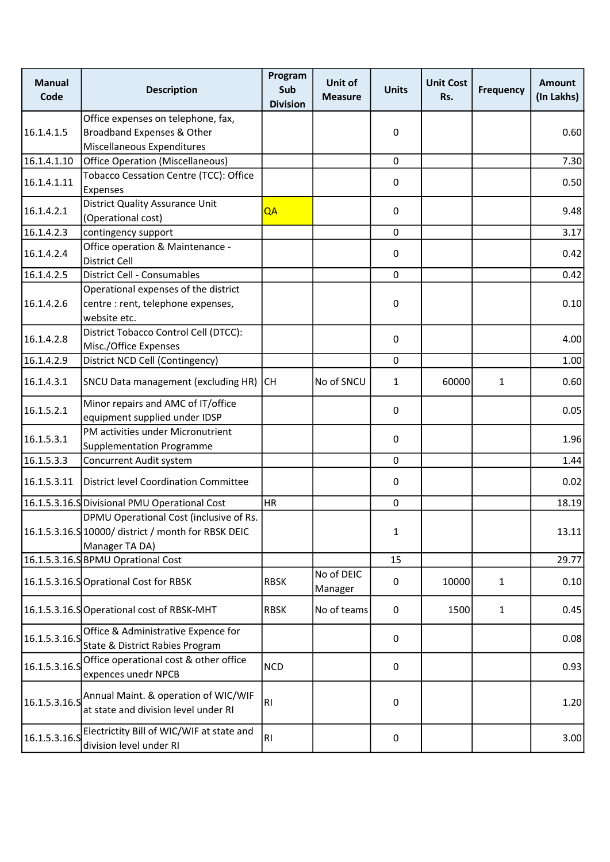| <b>Manual</b><br>Code | <b>Description</b>                                                                                         | Program<br>Sub<br><b>Division</b> | Unit of<br><b>Measure</b> | <b>Units</b> | <b>Unit Cost</b><br>Rs. | <b>Frequency</b> | <b>Amount</b><br>(In Lakhs) |
|-----------------------|------------------------------------------------------------------------------------------------------------|-----------------------------------|---------------------------|--------------|-------------------------|------------------|-----------------------------|
|                       | Office expenses on telephone, fax,                                                                         |                                   |                           |              |                         |                  |                             |
| 16.1.4.1.5            | Broadband Expenses & Other                                                                                 |                                   |                           | 0            |                         |                  | 0.60                        |
|                       | Miscellaneous Expenditures                                                                                 |                                   |                           |              |                         |                  |                             |
| 16.1.4.1.10           | Office Operation (Miscellaneous)                                                                           |                                   |                           | $\mathbf 0$  |                         |                  | 7.30                        |
| 16.1.4.1.11           | Tobacco Cessation Centre (TCC): Office<br>Expenses                                                         |                                   |                           | 0            |                         |                  | 0.50                        |
| 16.1.4.2.1            | District Quality Assurance Unit<br>(Operational cost)                                                      | QA                                |                           | 0            |                         |                  | 9.48                        |
| 16.1.4.2.3            | contingency support                                                                                        |                                   |                           | 0            |                         |                  | 3.17                        |
| 16.1.4.2.4            | Office operation & Maintenance -<br><b>District Cell</b>                                                   |                                   |                           | 0            |                         |                  | 0.42                        |
| 16.1.4.2.5            | District Cell - Consumables                                                                                |                                   |                           | 0            |                         |                  | 0.42                        |
| 16.1.4.2.6            | Operational expenses of the district<br>centre : rent, telephone expenses,                                 |                                   |                           | 0            |                         |                  | 0.10                        |
|                       | website etc.                                                                                               |                                   |                           |              |                         |                  |                             |
| 16.1.4.2.8            | District Tobacco Control Cell (DTCC):<br>Misc./Office Expenses                                             |                                   |                           | 0            |                         |                  | 4.00                        |
| 16.1.4.2.9            | District NCD Cell (Contingency)                                                                            |                                   |                           | $\mathbf 0$  |                         |                  | 1.00                        |
| 16.1.4.3.1            | SNCU Data management (excluding HR)                                                                        | CH                                | No of SNCU                | 1            | 60000                   | $\mathbf{1}$     | 0.60                        |
| 16.1.5.2.1            | Minor repairs and AMC of IT/office<br>equipment supplied under IDSP                                        |                                   |                           | 0            |                         |                  | 0.05                        |
| 16.1.5.3.1            | PM activities under Micronutrient<br><b>Supplementation Programme</b>                                      |                                   |                           | 0            |                         |                  | 1.96                        |
| 16.1.5.3.3            | Concurrent Audit system                                                                                    |                                   |                           | 0            |                         |                  | 1.44                        |
| 16.1.5.3.11           | District level Coordination Committee                                                                      |                                   |                           | 0            |                         |                  | 0.02                        |
|                       | 16.1.5.3.16.S Divisional PMU Operational Cost                                                              | <b>HR</b>                         |                           | 0            |                         |                  | 18.19                       |
|                       | DPMU Operational Cost (inclusive of Rs.<br>16.1.5.3.16.S 10000/ district / month for RBSK DEIC             |                                   |                           | 1            |                         |                  | 13.11                       |
|                       | Manager TA DA)                                                                                             |                                   |                           |              |                         |                  |                             |
|                       | 16.1.5.3.16.S BPMU Oprational Cost                                                                         |                                   |                           | 15           |                         |                  | 29.77                       |
|                       | 16.1.5.3.16.SOprational Cost for RBSK                                                                      | <b>RBSK</b>                       | No of DEIC<br>Manager     | 0            | 10000                   | $\mathbf{1}$     | 0.10                        |
|                       | 16.1.5.3.16.SOperational cost of RBSK-MHT                                                                  | <b>RBSK</b>                       | No of teams               | 0            | 1500                    | $\mathbf{1}$     | 0.45                        |
| 16.1.5.3.16.S         | Office & Administrative Expence for<br>State & District Rabies Program                                     |                                   |                           | 0            |                         |                  | 0.08                        |
| 16.1.5.3.16.S         | Office operational cost & other office<br>expences unedr NPCB                                              | <b>NCD</b>                        |                           | 0            |                         |                  | 0.93                        |
|                       | $\vert$ 16.1.5.3.16.S $\vert$ Annual Maint. & operation of WIC/WIF<br>at state and division level under RI | RI.                               |                           | 0            |                         |                  | 1.20                        |
| 16.1.5.3.16.5         | Electrictity Bill of WIC/WIF at state and<br>division level under RI                                       | RI.                               |                           | 0            |                         |                  | 3.00                        |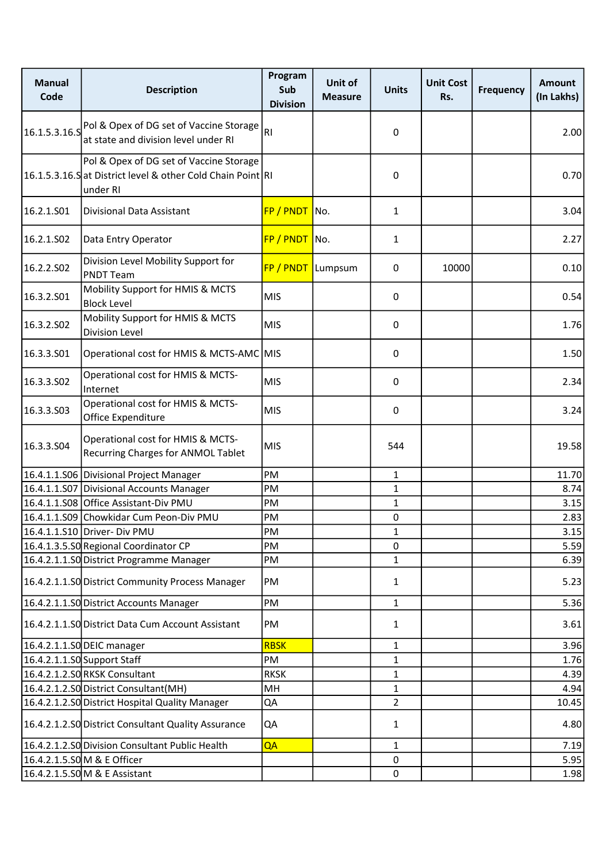| <b>Manual</b><br>Code | <b>Description</b>                                                                                                 | Program<br>Sub<br><b>Division</b> | Unit of<br><b>Measure</b> | <b>Units</b>   | <b>Unit Cost</b><br>Rs. | <b>Frequency</b> | <b>Amount</b><br>(In Lakhs) |
|-----------------------|--------------------------------------------------------------------------------------------------------------------|-----------------------------------|---------------------------|----------------|-------------------------|------------------|-----------------------------|
| 16.1.5.3.16.5         | Pol & Opex of DG set of Vaccine Storage<br>at state and division level under RI                                    | RI.                               |                           | 0              |                         |                  | 2.00                        |
|                       | Pol & Opex of DG set of Vaccine Storage<br>16.1.5.3.16.S at District level & other Cold Chain Point RI<br>under RI |                                   |                           | 0              |                         |                  | 0.70                        |
| 16.2.1.501            | Divisional Data Assistant                                                                                          | FP / PNDT                         | No.                       | 1              |                         |                  | 3.04                        |
| 16.2.1.S02            | Data Entry Operator                                                                                                | FP / PNDT                         | No.                       | $\mathbf{1}$   |                         |                  | 2.27                        |
| 16.2.2.502            | Division Level Mobility Support for<br><b>PNDT Team</b>                                                            | FP / PNDT Lumpsum                 |                           | 0              | 10000                   |                  | 0.10                        |
| 16.3.2.501            | Mobility Support for HMIS & MCTS<br><b>Block Level</b>                                                             | <b>MIS</b>                        |                           | 0              |                         |                  | 0.54                        |
| 16.3.2.S02            | Mobility Support for HMIS & MCTS<br><b>Division Level</b>                                                          | <b>MIS</b>                        |                           | 0              |                         |                  | 1.76                        |
| 16.3.3.501            | Operational cost for HMIS & MCTS-AMC MIS                                                                           |                                   |                           | 0              |                         |                  | 1.50                        |
| 16.3.3.502            | Operational cost for HMIS & MCTS-<br>Internet                                                                      | <b>MIS</b>                        |                           | 0              |                         |                  | 2.34                        |
| 16.3.3.S03            | Operational cost for HMIS & MCTS-<br>Office Expenditure                                                            | <b>MIS</b>                        |                           | 0              |                         |                  | 3.24                        |
| 16.3.3.504            | Operational cost for HMIS & MCTS-<br><b>Recurring Charges for ANMOL Tablet</b>                                     | <b>MIS</b>                        |                           | 544            |                         |                  | 19.58                       |
|                       | 16.4.1.1.S06 Divisional Project Manager                                                                            | PM                                |                           | $\mathbf{1}$   |                         |                  | 11.70                       |
|                       | 16.4.1.1.S07 Divisional Accounts Manager                                                                           | PM                                |                           | 1              |                         |                  | 8.74                        |
|                       | 16.4.1.1.S08 Office Assistant-Div PMU                                                                              | PM                                |                           | 1              |                         |                  | 3.15                        |
|                       | 16.4.1.1.S09 Chowkidar Cum Peon-Div PMU                                                                            | PM                                |                           | 0              |                         |                  | 2.83                        |
|                       | 16.4.1.1.S10 Driver- Div PMU                                                                                       | PM                                |                           | 1              |                         |                  | 3.15                        |
|                       | 16.4.1.3.5.SO Regional Coordinator CP                                                                              | PM                                |                           | 0              |                         |                  | 5.59                        |
|                       | 16.4.2.1.1.SO District Programme Manager                                                                           | PM                                |                           | 1              |                         |                  | 6.39                        |
|                       | 16.4.2.1.1.SO District Community Process Manager                                                                   | PM                                |                           | 1              |                         |                  | 5.23                        |
|                       | 16.4.2.1.1.S0 District Accounts Manager                                                                            | PM                                |                           | $\mathbf{1}$   |                         |                  | 5.36                        |
|                       | 16.4.2.1.1.SO District Data Cum Account Assistant                                                                  | PM                                |                           | $\mathbf{1}$   |                         |                  | 3.61                        |
|                       | 16.4.2.1.1.SO DEIC manager                                                                                         | <b>RBSK</b>                       |                           | 1              |                         |                  | 3.96                        |
|                       | 16.4.2.1.1.SO Support Staff                                                                                        | PM                                |                           | 1              |                         |                  | 1.76                        |
|                       | 16.4.2.1.2.SORKSK Consultant                                                                                       | <b>RKSK</b>                       |                           | $\mathbf{1}$   |                         |                  | 4.39                        |
|                       | 16.4.2.1.2.SO District Consultant (MH)                                                                             | MH                                |                           | 1              |                         |                  | 4.94                        |
|                       | 16.4.2.1.2.SO District Hospital Quality Manager                                                                    | QA                                |                           | $\overline{2}$ |                         |                  | 10.45                       |
|                       | 16.4.2.1.2.SO District Consultant Quality Assurance                                                                | QA                                |                           | $\mathbf{1}$   |                         |                  | 4.80                        |
|                       | 16.4.2.1.2.SO Division Consultant Public Health                                                                    | QA                                |                           | $\mathbf{1}$   |                         |                  | 7.19                        |
|                       | 16.4.2.1.5.SOM & E Officer                                                                                         |                                   |                           | 0              |                         |                  | 5.95                        |
|                       | 16.4.2.1.5.SOM & E Assistant                                                                                       |                                   |                           | 0              |                         |                  | 1.98                        |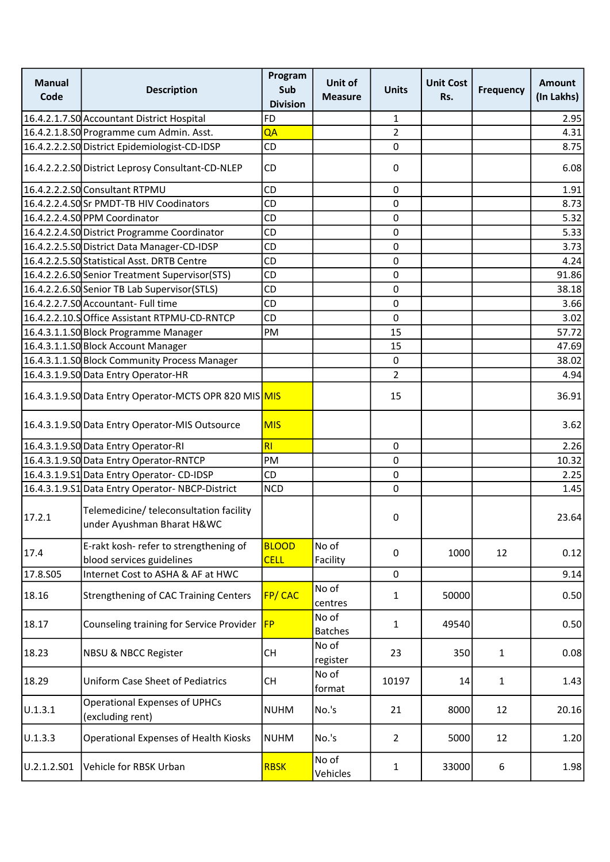| <b>Manual</b><br>Code | <b>Description</b>                                                    | Program<br>Sub<br><b>Division</b> | Unit of<br><b>Measure</b> | <b>Units</b>   | <b>Unit Cost</b><br>Rs. | <b>Frequency</b> | <b>Amount</b><br>(In Lakhs) |
|-----------------------|-----------------------------------------------------------------------|-----------------------------------|---------------------------|----------------|-------------------------|------------------|-----------------------------|
|                       | 16.4.2.1.7.SO Accountant District Hospital                            | FD                                |                           | 1              |                         |                  | 2.95                        |
|                       | 16.4.2.1.8.SO Programme cum Admin. Asst.                              | QA                                |                           | $\overline{2}$ |                         |                  | 4.31                        |
|                       | 16.4.2.2.2.SO District Epidemiologist-CD-IDSP                         | CD                                |                           | 0              |                         |                  | 8.75                        |
|                       | 16.4.2.2.2.SO District Leprosy Consultant-CD-NLEP                     | CD                                |                           | $\pmb{0}$      |                         |                  | 6.08                        |
|                       | 16.4.2.2.2.SO Consultant RTPMU                                        | CD                                |                           | 0              |                         |                  | 1.91                        |
|                       | 16.4.2.2.4.SOSr PMDT-TB HIV Coodinators                               | CD                                |                           | 0              |                         |                  | 8.73                        |
|                       | 16.4.2.2.4.SO PPM Coordinator                                         | CD                                |                           | 0              |                         |                  | 5.32                        |
|                       | 16.4.2.2.4.SO District Programme Coordinator                          | <b>CD</b>                         |                           | 0              |                         |                  | 5.33                        |
|                       | 16.4.2.2.5.SO District Data Manager-CD-IDSP                           | CD                                |                           | 0              |                         |                  | 3.73                        |
|                       | 16.4.2.2.5.SO Statistical Asst. DRTB Centre                           | CD                                |                           | $\mathbf 0$    |                         |                  | 4.24                        |
|                       | 16.4.2.2.6.SO Senior Treatment Supervisor (STS)                       | CD                                |                           | 0              |                         |                  | 91.86                       |
|                       | 16.4.2.2.6.SO Senior TB Lab Supervisor (STLS)                         | CD                                |                           | 0              |                         |                  | 38.18                       |
|                       | 16.4.2.2.7.SO Accountant- Full time                                   | CD                                |                           | $\pmb{0}$      |                         |                  | 3.66                        |
|                       | 16.4.2.2.10.SOffice Assistant RTPMU-CD-RNTCP                          | CD                                |                           | 0              |                         |                  | 3.02                        |
|                       | 16.4.3.1.1.SO Block Programme Manager                                 | PM                                |                           | 15             |                         |                  | 57.72                       |
|                       | 16.4.3.1.1.SO Block Account Manager                                   |                                   |                           | 15             |                         |                  | 47.69                       |
|                       | 16.4.3.1.1.SO Block Community Process Manager                         |                                   |                           | $\mathbf 0$    |                         |                  | 38.02                       |
|                       | 16.4.3.1.9.SO Data Entry Operator-HR                                  |                                   |                           | $\overline{2}$ |                         |                  | 4.94                        |
|                       | 16.4.3.1.9.SO Data Entry Operator-MCTS OPR 820 MIS MIS                |                                   |                           | 15             |                         |                  | 36.91                       |
|                       | 16.4.3.1.9.SO Data Entry Operator-MIS Outsource                       | <b>MIS</b>                        |                           |                |                         |                  | 3.62                        |
|                       | 16.4.3.1.9.SO Data Entry Operator-RI                                  | RI                                |                           | $\mathbf 0$    |                         |                  | 2.26                        |
|                       | 16.4.3.1.9.SO Data Entry Operator-RNTCP                               | PM                                |                           | $\mathbf 0$    |                         |                  | 10.32                       |
|                       | 16.4.3.1.9.S1 Data Entry Operator-CD-IDSP                             | CD                                |                           | 0              |                         |                  | 2.25                        |
|                       | 16.4.3.1.9.S1 Data Entry Operator-NBCP-District                       | <b>NCD</b>                        |                           | 0              |                         |                  | 1.45                        |
| 17.2.1                | Telemedicine/ teleconsultation facility<br>under Ayushman Bharat H&WC |                                   |                           | 0              |                         |                  | 23.64                       |
| 17.4                  | E-rakt kosh- refer to strengthening of<br>blood services guidelines   | <b>BLOOD</b><br><b>CELL</b>       | No of<br>Facility         | 0              | 1000                    | 12               | 0.12                        |
| 17.8.S05              | Internet Cost to ASHA & AF at HWC                                     |                                   |                           | $\pmb{0}$      |                         |                  | 9.14                        |
| 18.16                 | <b>Strengthening of CAC Training Centers</b>                          | <b>FP/CAC</b>                     | No of<br>centres          | 1              | 50000                   |                  | 0.50                        |
| 18.17                 | Counseling training for Service Provider                              | FP                                | No of<br><b>Batches</b>   | 1              | 49540                   |                  | 0.50                        |
| 18.23                 | NBSU & NBCC Register                                                  | <b>CH</b>                         | No of<br>register         | 23             | 350                     | $\mathbf{1}$     | 0.08                        |
| 18.29                 | Uniform Case Sheet of Pediatrics                                      | <b>CH</b>                         | No of<br>format           | 10197          | 14                      | $\mathbf{1}$     | 1.43                        |
| 0.1.3.1               | <b>Operational Expenses of UPHCs</b><br>(excluding rent)              | <b>NUHM</b>                       | No.'s                     | 21             | 8000                    | 12               | 20.16                       |
| U.1.3.3               | Operational Expenses of Health Kiosks                                 | <b>NUHM</b>                       | No.'s                     | $\overline{2}$ | 5000                    | 12               | 1.20                        |
| U.2.1.2.S01           | Vehicle for RBSK Urban                                                | <b>RBSK</b>                       | No of<br>Vehicles         | $\mathbf{1}$   | 33000                   | 6                | 1.98                        |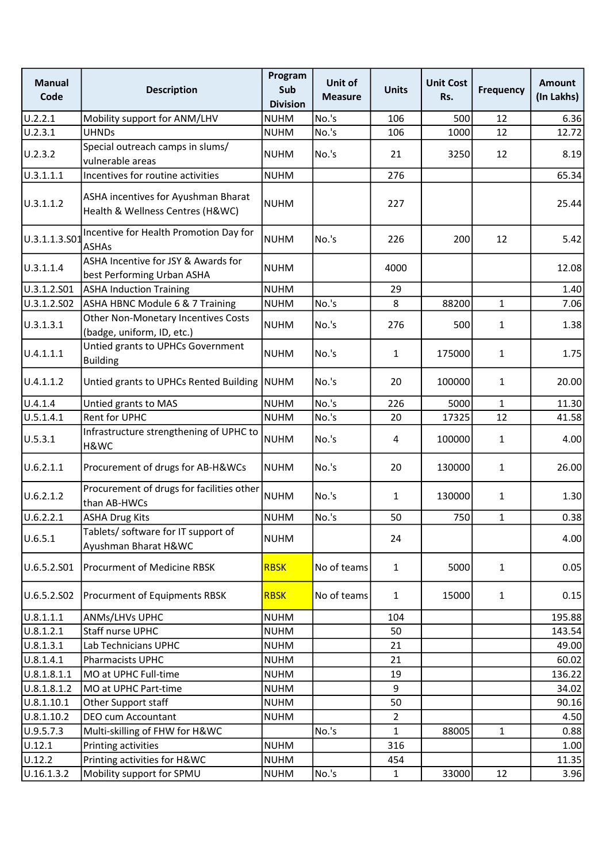| <b>Manual</b><br>Code | <b>Description</b>                                                      | Program<br>Sub<br><b>Division</b> | Unit of<br><b>Measure</b> | <b>Units</b> | <b>Unit Cost</b><br>Rs. | <b>Frequency</b> | Amount<br>(In Lakhs) |
|-----------------------|-------------------------------------------------------------------------|-----------------------------------|---------------------------|--------------|-------------------------|------------------|----------------------|
| U.2.2.1               | Mobility support for ANM/LHV                                            | <b>NUHM</b>                       | No.'s                     | 106          | 500                     | 12               | 6.36                 |
| U.2.3.1               | <b>UHNDs</b>                                                            | <b>NUHM</b>                       | No.'s                     | 106          | 1000                    | 12               | 12.72                |
| U.2.3.2               | Special outreach camps in slums/<br>vulnerable areas                    | <b>NUHM</b>                       | No.'s                     | 21           | 3250                    | 12               | 8.19                 |
| 0.3.1.1.1             | Incentives for routine activities                                       | <b>NUHM</b>                       |                           | 276          |                         |                  | 65.34                |
| U.3.1.1.2             | ASHA incentives for Ayushman Bharat<br>Health & Wellness Centres (H&WC) | <b>NUHM</b>                       |                           | 227          |                         |                  | 25.44                |
| U.3.1.1.3.S01         | Incentive for Health Promotion Day for<br><b>ASHAs</b>                  | <b>NUHM</b>                       | No.'s                     | 226          | 200                     | 12               | 5.42                 |
| U.3.1.1.4             | ASHA Incentive for JSY & Awards for<br>best Performing Urban ASHA       | <b>NUHM</b>                       |                           | 4000         |                         |                  | 12.08                |
| U.3.1.2.S01           | <b>ASHA Induction Training</b>                                          | <b>NUHM</b>                       |                           | 29           |                         |                  | 1.40                 |
| U.3.1.2.S02           | ASHA HBNC Module 6 & 7 Training                                         | <b>NUHM</b>                       | No.'s                     | 8            | 88200                   | $\mathbf{1}$     | 7.06                 |
| U.3.1.3.1             | Other Non-Monetary Incentives Costs<br>(badge, uniform, ID, etc.)       | <b>NUHM</b>                       | No.'s                     | 276          | 500                     | $\mathbf{1}$     | 1.38                 |
| U.4.1.1.1             | Untied grants to UPHCs Government<br><b>Building</b>                    | <b>NUHM</b>                       | No.'s                     | $\mathbf{1}$ | 175000                  | $\mathbf{1}$     | 1.75                 |
| U.4.1.1.2             | Untied grants to UPHCs Rented Building NUHM                             |                                   | No.'s                     | 20           | 100000                  | $\mathbf{1}$     | 20.00                |
| U.4.1.4               | Untied grants to MAS                                                    | <b>NUHM</b>                       | No.'s                     | 226          | 5000                    | $\mathbf{1}$     | 11.30                |
| U.5.1.4.1             | Rent for UPHC                                                           | <b>NUHM</b>                       | No.'s                     | 20           | 17325                   | 12               | 41.58                |
| U.5.3.1               | Infrastructure strengthening of UPHC to<br>H&WC                         | <b>NUHM</b>                       | No.'s                     | 4            | 100000                  | $\mathbf{1}$     | 4.00                 |
| U.6.2.1.1             | Procurement of drugs for AB-H&WCs                                       | <b>NUHM</b>                       | No.'s                     | 20           | 130000                  | $\mathbf{1}$     | 26.00                |
| U.6.2.1.2             | Procurement of drugs for facilities other<br>than AB-HWCs               | <b>NUHM</b>                       | No.'s                     | $\mathbf{1}$ | 130000                  | $\mathbf{1}$     | 1.30                 |
| U.6.2.2.1             | <b>ASHA Drug Kits</b>                                                   | <b>NUHM</b>                       | No.'s                     | 50           | 750                     | $\mathbf 1$      | 0.38                 |
| U.6.5.1               | Tablets/ software for IT support of<br>Ayushman Bharat H&WC             | <b>NUHM</b>                       |                           | 24           |                         |                  | 4.00                 |
| U.6.5.2.S01           | Procurment of Medicine RBSK                                             | <b>RBSK</b>                       | No of teams               | $\mathbf{1}$ | 5000                    | $\mathbf{1}$     | 0.05                 |
| U.6.5.2.S02           | Procurment of Equipments RBSK                                           | <b>RBSK</b>                       | No of teams               | $\mathbf{1}$ | 15000                   | $\mathbf{1}$     | 0.15                 |
| U.8.1.1.1             | ANMs/LHVs UPHC                                                          | <b>NUHM</b>                       |                           | 104          |                         |                  | 195.88               |
| U.8.1.2.1             | Staff nurse UPHC                                                        | <b>NUHM</b>                       |                           | 50           |                         |                  | 143.54               |
| 0.8.1.3.1             | Lab Technicians UPHC                                                    | <b>NUHM</b>                       |                           | 21           |                         |                  | 49.00                |
| U.8.1.4.1             | Pharmacists UPHC                                                        | <b>NUHM</b>                       |                           | 21           |                         |                  | 60.02                |
| U.8.1.8.1.1           | MO at UPHC Full-time                                                    | <b>NUHM</b>                       |                           | 19           |                         |                  | 136.22               |
| U.8.1.8.1.2           | MO at UPHC Part-time                                                    | <b>NUHM</b>                       |                           | 9            |                         |                  | 34.02                |
| 0.8.1.10.1            | Other Support staff                                                     | <b>NUHM</b>                       |                           | 50           |                         |                  | 90.16                |
| U.8.1.10.2            | DEO cum Accountant                                                      | <b>NUHM</b>                       |                           | 2            |                         |                  | 4.50                 |
| U.9.5.7.3             | Multi-skilling of FHW for H&WC                                          |                                   | No.'s                     | 1            | 88005                   | $\mathbf{1}$     | 0.88                 |
| U.12.1                | Printing activities                                                     | <b>NUHM</b>                       |                           | 316          |                         |                  | 1.00                 |
| U.12.2                | Printing activities for H&WC                                            | <b>NUHM</b>                       |                           | 454          |                         |                  | 11.35                |
| U.16.1.3.2            | Mobility support for SPMU                                               | <b>NUHM</b>                       | No.'s                     | $\mathbf{1}$ | 33000                   | 12               | 3.96                 |